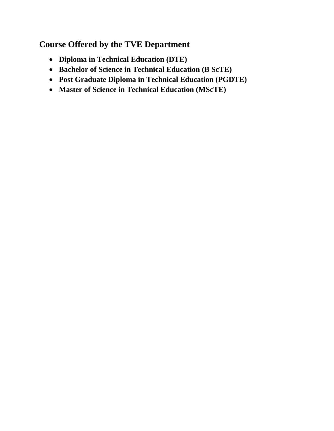# **Course Offered by the TVE Department**

- **Diploma in Technical Education (DTE)**
- **Bachelor of Science in Technical Education (B ScTE)**
- **Post Graduate Diploma in Technical Education (PGDTE)**
- **Master of Science in Technical Education (MScTE)**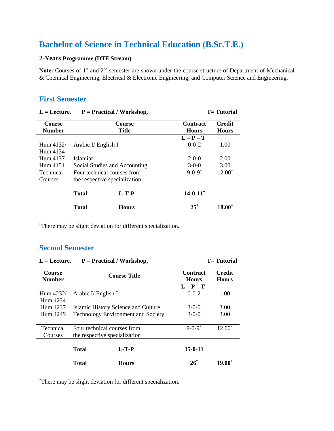# **Bachelor of Science in Technical Education (B.Sc.T.E.)**

## **2-Years Programme (DTE Stream)**

Note: Courses of 1<sup>st</sup> and 2<sup>nd</sup> semester are shown under the course structure of Department of Mechanical & Chemical Engineering, Electrical & Electronic Engineering, and Computer Science and Engineering.

## **First Semester**

| $L =$ Lecture.<br>$P = Practical / Workshop$ , |                                                              |                               |                                 | <b>T</b> = Tutorial           |
|------------------------------------------------|--------------------------------------------------------------|-------------------------------|---------------------------------|-------------------------------|
| <b>Course</b><br><b>Number</b>                 |                                                              | <b>Course</b><br><b>Title</b> | <b>Contract</b><br><b>Hours</b> | <b>Credit</b><br><b>Hours</b> |
| Hum 4132/<br>Hum 4134                          | Arabic I/ English I                                          |                               | $L - P - T$<br>$0 - 0 - 2$      | 1.00                          |
| Hum 4137<br>Hum 4151                           | <b>Islamiat</b><br>Social Studies and Accounting             |                               | $2 - 0 - 0$<br>$3-0-0$          | 2.00<br>3.00                  |
| Technical<br>Courses                           | Four technical courses from<br>the respective specialization |                               | $9 - 0 - 9^*$                   | $12.00*$                      |
|                                                | <b>Total</b>                                                 | $L-T-P$                       | $14 - 0 - 11$ <sup>*</sup>      |                               |
|                                                | <b>Total</b>                                                 | <b>Hours</b>                  | $25*$                           | $18.00^{*}$                   |

\*There may be slight deviation for different specialization.

## **Second Semester**

| $L =$ Lecture.<br>$P = Practical / Workshop$ , |                                                              |                                                                                  |                                 | <b>T</b> = Tutorial           |
|------------------------------------------------|--------------------------------------------------------------|----------------------------------------------------------------------------------|---------------------------------|-------------------------------|
| <b>Course</b><br><b>Number</b>                 | <b>Course Title</b>                                          |                                                                                  | <b>Contract</b><br><b>Hours</b> | <b>Credit</b><br><b>Hours</b> |
| Hum $4232/$<br>Hum 4234                        | Arabic I/ English I                                          |                                                                                  | $L - P - T$<br>$0 - 0 - 2$      | 1.00                          |
| Hum 4237<br>Hum 4249                           |                                                              | Islamic History Science and Culture<br><b>Technology Environment and Society</b> | $3-0-0$<br>$3-0-0$              | 3.00<br>3.00                  |
| Technical<br>Courses                           | Four technical courses from<br>the respective specialization |                                                                                  | $9 - 0 - 9^*$                   | $12.00*$                      |
|                                                | <b>Total</b>                                                 | $L-T-P$                                                                          | $15 - 0 - 11$                   |                               |
|                                                | <b>Total</b>                                                 | <b>Hours</b>                                                                     | $26^*$                          | $19.00*$                      |

\*There may be slight deviation for different specialization.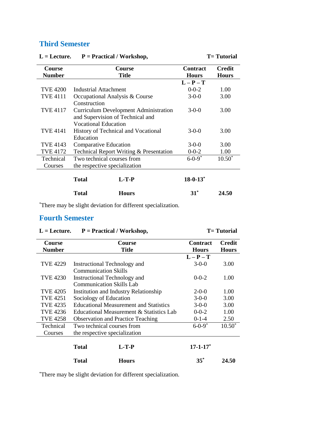# **Third Semester**

| <b>Course</b>   | <b>Course</b>                                | <b>Contract</b>            | <b>Credit</b> |
|-----------------|----------------------------------------------|----------------------------|---------------|
| <b>Number</b>   | <b>Title</b>                                 | <b>Hours</b>               | <b>Hours</b>  |
|                 |                                              | $L - P - T$                |               |
| <b>TVE 4200</b> | Industrial Attachment                        | $0 - 0 - 2$                | 1.00          |
| <b>TVE 4111</b> | Occupational Analysis & Course               | $3-0-0$                    | 3.00          |
|                 | Construction                                 |                            |               |
| TVE 4117        | <b>Curriculum Development Administration</b> | $3-0-0$                    | 3.00          |
|                 | and Supervision of Technical and             |                            |               |
|                 | <b>Vocational Education</b>                  |                            |               |
| <b>TVE 4141</b> | History of Technical and Vocational          | $3-0-0$                    | 3.00          |
|                 | Education                                    |                            |               |
| TVE 4143        | <b>Comparative Education</b>                 | $3-0-0$                    | 3.00          |
| <b>TVE 4172</b> | Technical Report Writing & Presentation      | $0 - 0 - 2$                | 1.00          |
| Technical       | Two technical courses from                   | $6 - 0 - 9^*$              | $10.50*$      |
| Courses         | the respective specialization                |                            |               |
|                 |                                              |                            |               |
|                 | $L-T-P$<br><b>Total</b>                      | $18 - 0 - 13$ <sup>*</sup> |               |
|                 | Total<br>Hours                               | $31^*$                     | 24.50         |

**L = Lecture. P = Practical / Workshop, T= Tutorial**

\*There may be slight deviation for different specialization.

## **Fourth Semester**

| $L =$ Lecture.<br>$P = Practical / Workshop$ , |                                               |                                              |                               | <b>T</b> =Tutorial |
|------------------------------------------------|-----------------------------------------------|----------------------------------------------|-------------------------------|--------------------|
| Course<br><b>Number</b>                        |                                               | <b>Contract</b><br><b>Hours</b>              | <b>Credit</b><br><b>Hours</b> |                    |
|                                                |                                               |                                              | $L - P - T$                   |                    |
| <b>TVE 4229</b>                                | Instructional Technology and                  |                                              | $3 - 0 - 0$                   | 3.00               |
|                                                | <b>Communication Skills</b>                   |                                              |                               |                    |
| <b>TVE 4230</b>                                | Instructional Technology and                  |                                              | $0 - 0 - 2$                   | 1.00               |
|                                                | <b>Communication Skills Lab</b>               |                                              |                               |                    |
| <b>TVE 4205</b>                                |                                               | <b>Institution and Industry Relationship</b> | $2-0-0$                       | 1.00               |
| <b>TVE 4251</b>                                | Sociology of Education                        |                                              | $3-0-0$                       | 3.00               |
| TVE 4235                                       | <b>Educational Measurement and Statistics</b> |                                              | $3-0-0$                       | 3.00               |
| TVE 4236                                       | Educational Measurement & Statistics Lab      |                                              | $0 - 0 - 2$                   | 1.00               |
| TVE 4258                                       |                                               | <b>Observation and Practice Teaching</b>     | $0-1-4$                       | 2.50               |
| Technical                                      | Two technical courses from                    |                                              | $6 - 0 - 9^*$                 | $10.50^*$          |
| Courses                                        | the respective specialization                 |                                              |                               |                    |
|                                                | Total                                         | $L-T-P$                                      | $17 - 1 - 17$                 |                    |
|                                                | <b>Total</b>                                  | <b>Hours</b>                                 | $35^*$                        | 24.50              |

\*There may be slight deviation for different specialization.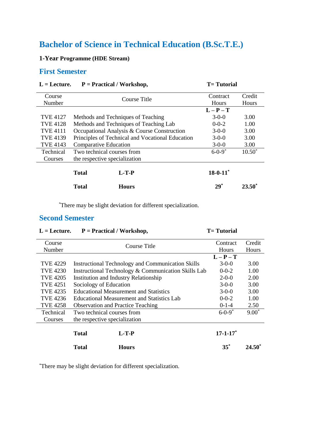# **Bachelor of Science in Technical Education (B.Sc.T.E.)**

**1-Year Programme (HDE Stream)**

## **First Semester**

| $L = L$ ecture.<br>$\mathbf{r} = \mathbf{r}$ ractical / workshop, |                                                  | $I = I$ utoriai                        |               |                 |
|-------------------------------------------------------------------|--------------------------------------------------|----------------------------------------|---------------|-----------------|
| Course                                                            |                                                  | Course Title                           | Contract      | Credit          |
| Number                                                            |                                                  |                                        | <b>Hours</b>  | Hours           |
|                                                                   |                                                  |                                        | $L-P-T$       |                 |
| <b>TVE 4127</b>                                                   |                                                  | Methods and Techniques of Teaching     | $3-0-0$       | 3.00            |
| <b>TVE 4128</b>                                                   |                                                  | Methods and Techniques of Teaching Lab | $0 - 0 - 2$   | 1.00            |
| <b>TVE 4111</b>                                                   | Occupational Analysis & Course Construction      |                                        | $3-0-0$       | 3.00            |
| <b>TVE 4139</b>                                                   | Principles of Technical and Vocational Education |                                        | $3-0-0$       | 3.00            |
| TVE 4143                                                          | <b>Comparative Education</b>                     |                                        | $3-0-0$       | 3.00            |
| Technical                                                         | Two technical courses from                       |                                        | $6 - 0 - 9^*$ | $10.50^*$       |
| Courses                                                           |                                                  | the respective specialization          |               |                 |
|                                                                   | <b>Total</b>                                     | $L-T-P$                                | $18 - 0 - 11$ |                 |
|                                                                   | <b>Total</b>                                     | <b>Hours</b>                           | $29^*$        | $23.50^{\circ}$ |

**L = Lecture. P = Practical / Workshop, T= Tutorial**

\*There may be slight deviation for different specialization.

L = Lecture. P = Practical / Workshop, T= Tutorial

## **Second Semester**

| Course           | Course Title                                  |                                                          | Contract      | Credit       |
|------------------|-----------------------------------------------|----------------------------------------------------------|---------------|--------------|
| Number           |                                               |                                                          | <b>Hours</b>  | <b>Hours</b> |
|                  |                                               |                                                          | $L - P - T$   |              |
| TVE 4229         |                                               | <b>Instructional Technology and Communication Skills</b> | $3-0-0$       | 3.00         |
| TVE 4230         |                                               | Instructional Technology & Communication Skills Lab      | $0 - 0 - 2$   | 1.00         |
| <b>TVE 4205</b>  |                                               | Institution and Industry Relationship                    | $2-0-0$       | 2.00         |
| <b>TVE 4251</b>  | Sociology of Education                        |                                                          | $3-0-0$       | 3.00         |
| TVE 4235         | <b>Educational Measurement and Statistics</b> |                                                          | $3-0-0$       | 3.00         |
| TVE 4236         | Educational Measurement and Statistics Lab    |                                                          | $0 - 0 - 2$   | 1.00         |
| <b>TVE 4258</b>  | <b>Observation and Practice Teaching</b>      |                                                          | $0-1-4$       | 2.50         |
| <b>Technical</b> | Two technical courses from                    |                                                          | $6 - 0 - 9^*$ | $9.00*$      |
| Courses          | the respective specialization                 |                                                          |               |              |
|                  |                                               |                                                          |               |              |
|                  | <b>Total</b>                                  | $L-T-P$                                                  | $17 - 1 - 17$ |              |
|                  | <b>Total</b>                                  | <b>Hours</b>                                             | $35^*$        | 24.50        |

\*There may be slight deviation for different specialization.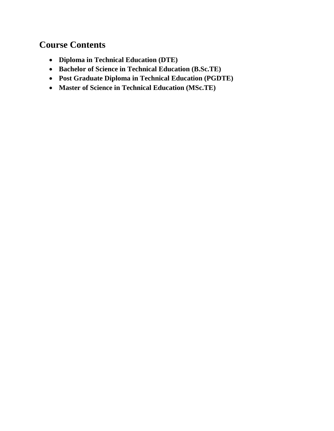# **Course Contents**

- **Diploma in Technical Education (DTE)**
- **Bachelor of Science in Technical Education (B.Sc.TE)**
- **Post Graduate Diploma in Technical Education (PGDTE)**
- **Master of Science in Technical Education (MSc.TE)**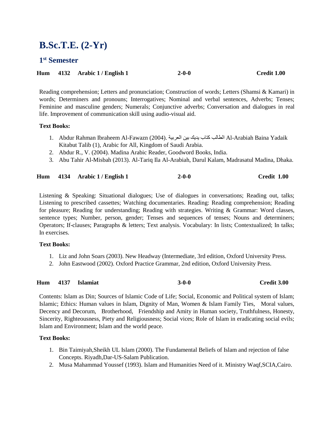# **B.Sc.T.E. (2-Yr)**

## **1 st Semester**

| Hum 4132 Arabic 1 / English 1 |  | $2 - 0 - 0$ | Credit 1.00 |
|-------------------------------|--|-------------|-------------|
|-------------------------------|--|-------------|-------------|

Reading comprehension; Letters and pronunciation; Construction of words; Letters (Shamsi & Kamari) in words; Determiners and pronouns; Interrogatives; Nominal and verbal sentences, Adverbs; Tenses; Feminine and masculine genders; Numerals; Conjunctive adverbs; Conversation and dialogues in real life. Improvement of communication skill using audio-visual aid.

### **Text Books:**

- 1. Abdur Rahman Ibraheem Al-Fawazn (2004). العربية بين يديك كتاب الطالب Al-Arabiah Baina Yadaik Kitabut Talib (1), Arabic for All, Kingdom of Saudi Arabia.
- 2. Abdur R., V. (2004). Madina Arabic Reader, Goodword Books, India.
- 3. Abu Tahir Al-Misbah (2013). Al-Tariq Ila Al-Arabiah, Darul Kalam, Madrasatul Madina, Dhaka.

|  |  | Hum 4134 Arabic 1 / English 1 | $2 - 0 - 0$ | Credit 1.00 |
|--|--|-------------------------------|-------------|-------------|
|--|--|-------------------------------|-------------|-------------|

Listening & Speaking: Situational dialogues; Use of dialogues in conversations; Reading out, talks; Listening to prescribed cassettes; Watching documentaries. Reading: Reading comprehension; Reading for pleasure; Reading for understanding; Reading with strategies. Writing & Grammar: Word classes, sentence types; Number, person, gender; Tenses and sequences of tenses; Nouns and determiners; Operators; If-clauses; Paragraphs & letters; Text analysis. Vocabulary: In lists; Contextualized; In talks; In exercises.

#### **Text Books:**

- 1. Liz and John Soars (2003). New Headway (Intermediate, 3rd edition, Oxford University Press.
- 2. John Eastwood (2002). Oxford Practice Grammar, 2nd edition, Oxford University Press.

**Hum 4137 Islamiat 3-0-0 Credit 3.00**

Contents: Islam as Din; Sources of Islamic Code of Life; Social, Economic and Political system of Islam; Islamic; Ethics: Human values in Islam, Dignity of Man, Women & Islam Family Ties, Moral values, Decency and Decorum, Brotherhood, Friendship and Amity in Human society, Truthfulness, Honesty, Sincerity, Righteousness, Piety and Religiousness; Social vices; Role of Islam in eradicating social evils; Islam and Environment; Islam and the world peace.

- 1. Bin Taimiyah,Sheikh UL Islam (2000). The Fundamental Beliefs of Islam and rejection of false Concepts. Riyadh,Dar-US-Salam Publication.
- 2. Musa Mahammad Youssef (1993). Islam and Humanities Need of it. Ministry Waqf,SCIA,Cairo.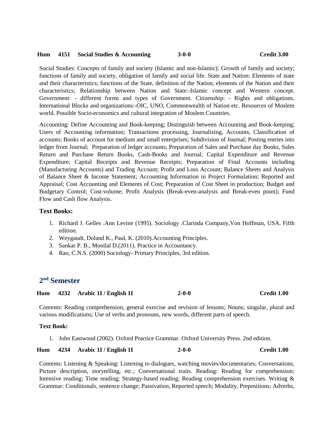#### **Hum 4151 Social Studies & Accounting 3-0-0 Credit 3.00**

Social Studies: Concepts of family and society (Islamic and non-Islamic): Growth of family and society; functions of family and society, obligation of family and social life. State and Nation: Elements of state and their characteristics; functions of the State, definition of the Nation, elements of the Nation and their characteristics; Relationship between Nation and State:-Islamic concept and Western concept. Government: - different forms and types of Government. Citizenship: - Rights and obligations. International Blocks and organizations:-OIC, UNO, Commonwealth of Nation etc. Resources of Moslem world. Possible Socio-economics and cultural integration of Moslem Countries.

Accounting: Define Accounting and Book-keeping; Distinguish between Accounting and Book-keeping; Users of Accounting information; Transactions processing, Journalizing, Accounts, Classification of accounts; Books of account for medium and small enterprises; Subdivision of Journal; Posting entries into ledger from Journal; Preparation of ledger accounts; Preparation of Sales and Purchase day Books, Sales Return and Purchase Return Books, Cash-Books and Journal; Capital Expenditure and Revenue Expenditure; Capital Receipts and Revenue Receipts; Preparation of Final Accounts including (Manufacturing Accounts) and Trading Account; Profit and Loss Account; Balance Sheets and Analysis of Balance Sheet & Income Statement; Accounting Information in Project Formulation; Reported and Appraisal; Cost Accounting and Elements of Cost; Preparation of Cost Sheet in production; Budget and Budgetary Control; Cost-volume; Profit Analysis (Break-even-analysis and Break-even point); Fund Flow and Cash flow Analysis.

## **Text Books:**

- 1. Richard J. Gelles .Ann Levine (1995). Sociology .Clarinda Company,Von Hoffman, USA. Fifth edition.
- 2. Weygaudt, Doland K., Paul, K. (2010).Accounting Principles.
- 3. Sankar P. B., Monilal D.(2011). Practice in Accountancy.
- 4. Rao, C.N.S. (2000) Sociology- Primary Principles, 3rd edition.

## **2 nd Semester**

| Hum |  | 4232 Arabic 1I / English 1I | $2 - 0 - 0$ | Credit 1.00 |
|-----|--|-----------------------------|-------------|-------------|
|-----|--|-----------------------------|-------------|-------------|

Contents: Reading comprehension, general exercise and revision of lessons; Nouns; singular, plural and various modifications; Use of verbs and pronouns, new words, different parts of speech.

### **Text Book:**

1. John Eastwood (2002). Oxford Practice Grammar. Oxford University Press. 2nd edition.

**Hum 4234 Arabic 1I / English 1I 2-0-0 Credit 1.00**

Contents: Listening & Speaking: Listening to dialogues, watching movies/documentaries; Conversations, Picture description, storytelling, etc.; Conversational traits. Reading: Reading for comprehension; Intensive reading; Time reading; Strategy-based reading; Reading comprehension exercises. Writing & Grammar: Conditionals, sentence change; Passivation, Reported speech; Modality, Prepositions; Adverbs,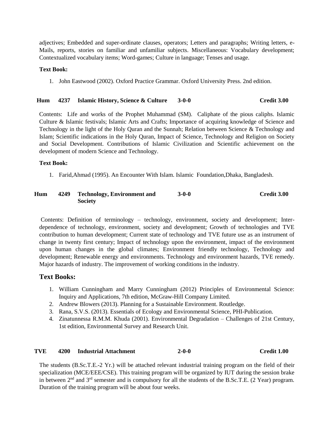adjectives; Embedded and super-ordinate clauses, operators; Letters and paragraphs; Writing letters, e-Mails, reports, stories on familiar and unfamiliar subjects. Miscellaneous: Vocabulary development; Contextualized vocabulary items; Word-games; Culture in language; Tenses and usage.

#### **Text Book:**

1. John Eastwood (2002). Oxford Practice Grammar. Oxford University Press. 2nd edition.

### **Hum 4237 Islamic History, Science & Culture 3-0-0 Credit 3.00**

Contents: Life and works of the Prophet Muhammad (SM). Caliphate of the pious caliphs. Islamic Culture & Islamic festivals; Islamic Arts and Crafts; Importance of acquiring knowledge of Science and Technology in the light of the Holy Quran and the Sunnah; Relation between Science & Technology and Islam; Scientific indications in the Holy Quran, Impact of Science, Technology and Religion on Society and Social Development. Contributions of Islamic Civilization and Scientific achievement on the development of modern Science and Technology.

### **Text Book:**

1. Farid,Ahmad (1995). An Encounter With Islam. Islamic Foundation,Dhaka, Bangladesh.

#### **Hum 4249 Technology, Environment and Society 3-0-0 Credit 3.00**

Contents: Definition of terminology – technology, environment, society and development; Interdependence of technology, environment, society and development; Growth of technologies and TVE contribution to human development; Current state of technology and TVE future use as an instrument of change in twenty first century; Impact of technology upon the environment, impact of the environment upon human changes in the global climates; Environment friendly technology, Technology and development; Renewable energy and environments. Technology and environment hazards, TVE remedy. Major hazards of industry. The improvement of working conditions in the industry.

## **Text Books:**

- 1. William Cunningham and Marry Cunningham (2012) Principles of Environmental Science: Inquiry and Applications, 7th edition, McGraw-Hill Company Limited.
- 2. Andrew Blowers (2013). Planning for a Sustainable Environment. Routledge.
- 3. Rana, S.V.S. (2013). Essentials of Ecology and Environmental Science, PHI-Publication.
- 4. Zinatunnessa R.M.M. Khuda (2001). Environmental Degradation Challenges of 21st Century, 1st edition, Environmental Survey and Research Unit.

#### **TVE 4200 Industrial Attachment 2-0-0 Credit 1.00**

The students (B.Sc.T.E.-2 Yr.) will be attached relevant industrial training program on the field of their specialization (MCE/EEE/CSE). This training program will be organized by IUT during the session brake in between  $2<sup>nd</sup>$  and  $3<sup>rd</sup>$  semester and is compulsory for all the students of the B.Sc.T.E. (2 Year) program. Duration of the training program will be about four weeks.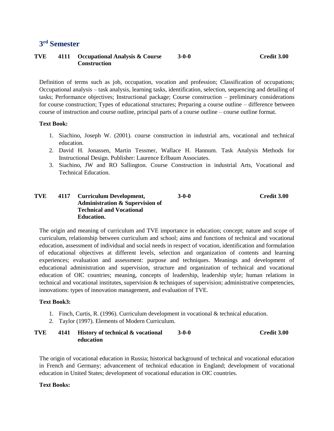## **3 rd Semester**

#### **TVE 4111 Occupational Analysis & Course Construction 3-0-0 Credit 3.00**

Definition of terms such as job, occupation, vocation and profession; Classification of occupations; Occupational analysis – task analysis, learning tasks, identification, selection, sequencing and detailing of tasks; Performance objectives; Instructional package; Course construction – preliminary considerations for course construction; Types of educational structures; Preparing a course outline – difference between course of instruction and course outline, principal parts of a course outline – course outline format.

#### **Text Book:**

- 1. Siachino, Joseph W. (2001). course construction in industrial arts, vocational and technical education.
- 2. David H. Jonassen, Martin Tessmer, Wallace H. Hannum. Task Analysis Methods for Instructional Design. Publisher: Laurence Erlbaum Associates.
- 3. Siachino, JW and RO Sallington. Course Construction in industrial Arts, Vocational and Technical Education.

#### **TVE 4117 Curriculum Development, Administration & Supervision of Technical and Vocational Education. 3-0-0 Credit 3.00**

The origin and meaning of curriculum and TVE importance in education; concept; nature and scope of curriculum, relationship between curriculum and school; aims and functions of technical and vocational education, assessment of individual and social needs in respect of vocation, identification and formulation of educational objectives at different levels, selection and organization of contents and learning experiences; evaluation and assessment: purpose and techniques. Meanings and development of educational administration and supervision, structure and organization of technical and vocational education of OIC countries; meaning, concepts of leadership, leadership style; human relations in technical and vocational institutes, supervision & techniques of supervision; administrative competencies, innovations: types of innovation management, and evaluation of TVE.

#### **Text Book3:**

- 1. Finch, Curtis, R. (1996). Curriculum development in vocational & technical education.
- 2. Taylor (1997). Elements of Modern Curriculum.
- **TVE 4141 History of technical & vocational education 3-0-0 Credit 3.00**

The origin of vocational education in Russia; historical background of technical and vocational education in French and Germany; advancement of technical education in England; development of vocational education in United States; development of vocational education in OIC countries.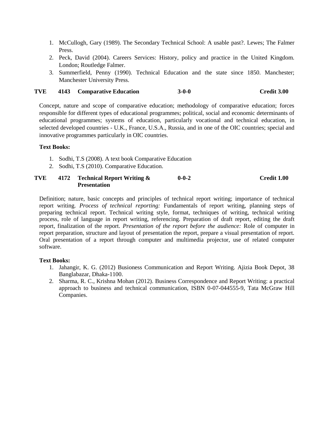- 1. McCullogh, Gary (1989). The Secondary Technical School: A usable past?. Lewes; The Falmer Press.
- 2. Peck, David (2004). Careers Services: History, policy and practice in the United Kingdom. London; Routledge Falmer.
- 3. Summerfield, Penny (1990). Technical Education and the state since 1850. Manchester; Manchester University Press.

#### **TVE 4143 Comparative Education 3-0-0 Credit 3.00**

Concept, nature and scope of comparative education; methodology of comparative education; forces responsible for different types of educational programmes; political, social and economic determinants of educational programmes; systems of education, particularly vocational and technical education, in selected developed countries - U.K., France, U.S.A., Russia, and in one of the OIC countries; special and innovative programmes particularly in OIC countries.

#### **Text Books:**

- 1. Sodhi, T.S (2008). A text book Comparative Education
- 2. Sodhi, T.S (2010). Comparative Education.

#### **TVE 4172 Technical Report Writing & Presentation 0-0-2 Credit 1.00**

Definition; nature, basic concepts and principles of technical report writing; importance of technical report writing. *Process of technical reporting:* Fundamentals of report writing, planning steps of preparing technical report. Technical writing style, format, techniques of writing, technical writing process, role of language in report writing, referencing. Preparation of draft report, editing the draft report, finalization of the report. *Presentation of the report before the audience:* Role of computer in report preparation, structure and layout of presentation the report, prepare a visual presentation of report. Oral presentation of a report through computer and multimedia projector, use of related computer software.

- 1. Jahangir, K. G. (2012) Busioness Communication and Report Writing. Ajizia Book Depot, 38 Banglabazar, Dhaka-1100.
- 2. Sharma, R. C., Krishna Mohan (2012). Business Correspondence and Report Writing: a practical approach to business and technical communication, ISBN 0-07-044555-9, Tata McGraw Hill Companies.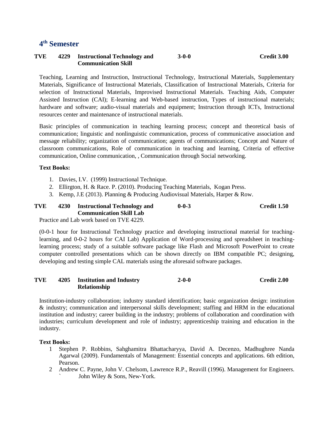## **4 th Semester**

#### **TVE 4229 Instructional Technology and Communication Skill 3-0-0 Credit 3.00**

Teaching, Learning and Instruction, Instructional Technology, Instructional Materials, Supplementary Materials, Significance of Instructional Materials, Classification of Instructional Materials, Criteria for selection of Instructional Materials, Improvised Instructional Materials. Teaching Aids, Computer Assisted Instruction (CAI); E-learning and Web-based instruction, Types of instructional materials; hardware and software; audio-visual materials and equipment; Instruction through ICTs, Instructional resources center and maintenance of instructional materials.

Basic principles of communication in teaching learning process; concept and theoretical basis of communication; linguistic and nonlinguistic communication, process of communicative association and message reliability; organization of communication; agents of communications; Concept and Nature of classroom communications, Role of communication in teaching and learning, Criteria of effective communication, Online communication, , Communication through Social networking.

#### **Text Books:**

- 1. Davies, I.V. (1999) Instructional Technique.
- 2. Ellirgton, H. & Race. P. (2010). Producing Teaching Materials, Kogan Press.
- 3. Kemp, J.E (2013). Planning & Producing Audiovisual Materials, Harper & Row.

#### **TVE 4230 Instructional Technology and Communication Skill Lab 0-0-3 Credit 1.50**

Practice and Lab work based on TVE 4229.

(0-0-1 hour for Instructional Technology practice and developing instructional material for teachinglearning, and 0-0-2 hours for CAI Lab) Application of Word-processing and spreadsheet in teachinglearning process; study of a suitable software package like Flash and Microsoft PowerPoint to create computer controlled presentations which can be shown directly on IBM compatible PC; designing, developing and testing simple CAL materials using the aforesaid software packages.

#### **TVE 4205 Institution and Industry Relationship 2-0-0 Credit 2.00**

Institution-industry collaboration; industry standard identification; basic organization design: institution & industry; communication and interpersonal skills development; staffing and HRM in the educational institution and industry; career building in the industry; problems of collaboration and coordination with industries; curriculum development and role of industry; apprenticeship training and education in the industry.

- 1 Stephen P. Robbins, Sahghamitra Bhattacharyya, David A. Decenzo, Madhughree Nanda Agarwal (2009). Fundamentals of Management: Essential concepts and applications. 6th edition, Pearson.
- 2 Andrew C. Payne, John V. Chelsom, Lawrence R.P., Reavill (1996). Management for Engineers. John Wiley & Sons, New-York.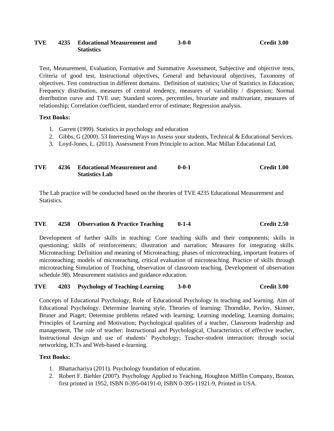#### **TVE 4235 Educational Measurement and Statistics**

Test, Measurement, Evaluation, Formative and Summative Assessment, Subjective and objective tests, Criteria of good test, Instructional objectives, General and behavioural objectives, Taxonomy of objectives. Test construction in different domains. Definition of statistics; Use of Statistics in Education, Frequency distribution, measures of central tendency, measures of variability / dispersion; Normal distribution curve and TVE use; Standard scores, percentiles, bivariate and multivariate, measures of relationship; Correlation coefficient, standard error of estimate; Regression analysis.

### **Text Books:**

- 1. Garrett (1999). Statistics in psychology and education
- 2. Gibbs, G (2000). 53 Interesting Ways to Assess your students, Technical & Educational Services.
- 3. Loyd-Jones, L. (2011). Assessment From Principle to action. Mac Millan Educational Ltd.

#### **TVE 4236 Educational Measurement and Statistics Lab 0-0-1 Credit 1.00**

The Lab practice will be conducted based on the theories of TVE 4235 Educational Measurement and Statistics.

#### **TVE 4258 Observation & Practice Teaching 0-1-4 Credit 2.50**

Development of further skills in teaching: Core teaching skills and their components; skills in questioning; skills of reinforcements; illustration and narration; Measures for integrating skills. Microteaching: Definition and meaning of Microteaching; phases of microteaching, important features of microteaching; models of microteaching, critical evaluation of microteaching. Practice of skills through microteaching Simulation of Teaching, observation of classroom teaching, Development of observation schedule.98). Measurement statistics and guidance education.

#### **TVE 4203 Psychology of Teaching-Learning 3-0-0 Credit 3.00**

Concepts of Educational Psychology, Role of Educational Psychology in teaching and learning. Aim of Educational Psychology. Determine learning style, Theories of learning: Thorndike, Pavlov, Skinner, Bruner and Piaget; Determine problems related with learning; Learning modeling; Learning domains; Principles of Learning and Motivation; Psychological qualities of a teacher, Classroom leadership and management, The role of teacher: Instructional and Psychological, Characteristics of effective teacher, Instructional design and use of students' Psychology; Teacher-student interaction: through social networking, ICTs and Web-based e-learning.

- 1. Bhattachariya (2011). Psychology foundation of education.
- 2. Robert F. Biehler (2007). Psychology Applied to Teaching, Houghton Mifflin Company, Boston, first printed in 1952, ISBN 0-395-04191-0, ISBN 0-395-11921-9, Printed in USA.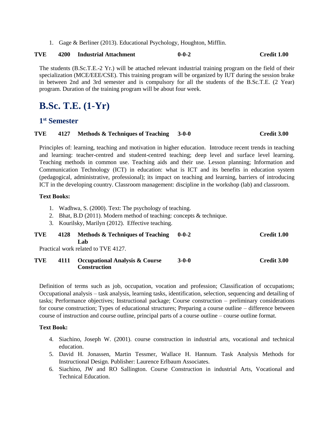1. Gage & Berliner (2013). Educational Psychology, Houghton, Mifflin.

## **TVE 4200 Industrial Attachment 0-0-2 Credit 1.00**

The students (B.Sc.T.E.-2 Yr.) will be attached relevant industrial training program on the field of their specialization (MCE/EEE/CSE). This training program will be organized by IUT during the session brake in between 2nd and 3rd semester and is compulsory for all the students of the B.Sc.T.E. (2 Year) program. Duration of the training program will be about four week.

# **B.Sc. T.E. (1-Yr)**

## **1 st Semester**

#### **TVE 4127 Methods & Techniques of Teaching 3-0-0 Credit 3.00**

Principles of: learning, teaching and motivation in higher education. Introduce recent trends in teaching and learning: teacher-centred and student-centred teaching; deep level and surface level learning. Teaching methods in common use. Teaching aids and their use. Lesson planning; Information and Communication Technology (ICT) in education: what is ICT and its benefits in education system (pedagogical, administrative, professional); its impact on teaching and learning, barriers of introducing ICT in the developing country. Classroom management: discipline in the workshop (lab) and classroom.

#### **Text Books:**

- 1. Wadhwa, S. (2000). Text: The psychology of teaching.
- 2. Bhat, B.D (2011). Modern method of teaching: concepts & technique.
- 3. Kourilsky, Marilyn (2012). Effective teaching.

#### **TVE 4128 Methods & Techniques of Teaching Lab 0-0-2 Credit 1.00**

Practical work related to TVE 4127.

**TVE 4111 Occupational Analysis & Course Construction 3-0-0 Credit 3.00**

Definition of terms such as job, occupation, vocation and profession; Classification of occupations; Occupational analysis – task analysis, learning tasks, identification, selection, sequencing and detailing of tasks; Performance objectives; Instructional package; Course construction – preliminary considerations for course construction; Types of educational structures; Preparing a course outline – difference between course of instruction and course outline, principal parts of a course outline – course outline format.

- 4. Siachino, Joseph W. (2001). course construction in industrial arts, vocational and technical education.
- 5. David H. Jonassen, Martin Tessmer, Wallace H. Hannum. Task Analysis Methods for Instructional Design. Publisher: Laurence Erlbaum Associates.
- 6. Siachino, JW and RO Sallington. Course Construction in industrial Arts, Vocational and Technical Education.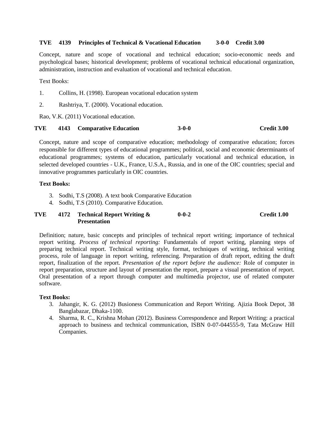#### **TVE 4139 Principles of Technical & Vocational Education 3-0-0 Credit 3.00**

Concept, nature and scope of vocational and technical education; socio-economic needs and psychological bases; historical development; problems of vocational technical educational organization, administration, instruction and evaluation of vocational and technical education.

Text Books:

- 1. Collins, H. (1998). European vocational education system
- 2. Rashtriya, T. (2000). Vocational education.

Rao, V.K. (2011) Vocational education.

#### **TVE 4143 Comparative Education 3-0-0 Credit 3.00**

Concept, nature and scope of comparative education; methodology of comparative education; forces responsible for different types of educational programmes; political, social and economic determinants of educational programmes; systems of education, particularly vocational and technical education, in selected developed countries - U.K., France, U.S.A., Russia, and in one of the OIC countries; special and innovative programmes particularly in OIC countries.

#### **Text Books:**

- 3. Sodhi, T.S (2008). A text book Comparative Education
- 4. Sodhi, T.S (2010). Comparative Education.

#### **TVE 4172 Technical Report Writing & Presentation 0-0-2 Credit 1.00**

Definition; nature, basic concepts and principles of technical report writing; importance of technical report writing. *Process of technical reporting:* Fundamentals of report writing, planning steps of preparing technical report. Technical writing style, format, techniques of writing, technical writing process, role of language in report writing, referencing. Preparation of draft report, editing the draft report, finalization of the report. *Presentation of the report before the audience:* Role of computer in report preparation, structure and layout of presentation the report, prepare a visual presentation of report. Oral presentation of a report through computer and multimedia projector, use of related computer software.

- 3. Jahangir, K. G. (2012) Busioness Communication and Report Writing. Ajizia Book Depot, 38 Banglabazar, Dhaka-1100.
- 4. Sharma, R. C., Krishna Mohan (2012). Business Correspondence and Report Writing: a practical approach to business and technical communication, ISBN 0-07-044555-9, Tata McGraw Hill Companies.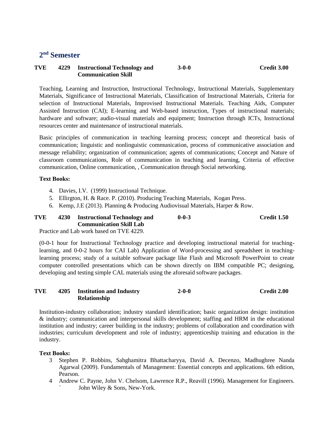## **2 nd Semester**

#### **TVE 4229 Instructional Technology and Communication Skill 3-0-0 Credit 3.00**

Teaching, Learning and Instruction, Instructional Technology, Instructional Materials, Supplementary Materials, Significance of Instructional Materials, Classification of Instructional Materials, Criteria for selection of Instructional Materials, Improvised Instructional Materials. Teaching Aids, Computer Assisted Instruction (CAI); E-learning and Web-based instruction, Types of instructional materials; hardware and software; audio-visual materials and equipment; Instruction through ICTs, Instructional resources center and maintenance of instructional materials.

Basic principles of communication in teaching learning process; concept and theoretical basis of communication; linguistic and nonlinguistic communication, process of communicative association and message reliability; organization of communication; agents of communications; Concept and Nature of classroom communications, Role of communication in teaching and learning, Criteria of effective communication, Online communication, , Communication through Social networking.

#### **Text Books:**

- 4. Davies, I.V. (1999) Instructional Technique.
- 5. Ellirgton, H. & Race. P. (2010). Producing Teaching Materials, Kogan Press.
- 6. Kemp, J.E (2013). Planning & Producing Audiovisual Materials, Harper & Row.

#### **TVE 4230 Instructional Technology and Communication Skill Lab 0-0-3 Credit 1.50**

Practice and Lab work based on TVE 4229.

(0-0-1 hour for Instructional Technology practice and developing instructional material for teachinglearning, and 0-0-2 hours for CAI Lab) Application of Word-processing and spreadsheet in teachinglearning process; study of a suitable software package like Flash and Microsoft PowerPoint to create computer controlled presentations which can be shown directly on IBM compatible PC; designing, developing and testing simple CAL materials using the aforesaid software packages.

#### **TVE 4205 Institution and Industry Relationship 2-0-0 Credit 2.00**

Institution-industry collaboration; industry standard identification; basic organization design: institution & industry; communication and interpersonal skills development; staffing and HRM in the educational institution and industry; career building in the industry; problems of collaboration and coordination with industries; curriculum development and role of industry; apprenticeship training and education in the industry.

- 3 Stephen P. Robbins, Sahghamitra Bhattacharyya, David A. Decenzo, Madhughree Nanda Agarwal (2009). Fundamentals of Management: Essential concepts and applications. 6th edition, Pearson.
- 4 Andrew C. Payne, John V. Chelsom, Lawrence R.P., Reavill (1996). Management for Engineers. John Wiley & Sons, New-York.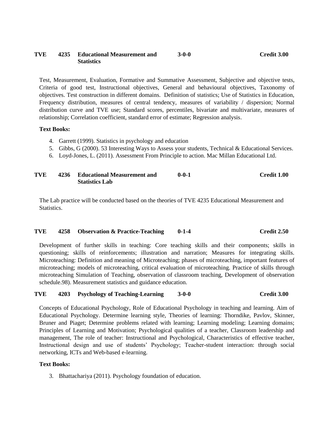#### **TVE 4235 Educational Measurement and Statistics 3-0-0 Credit 3.00**

Test, Measurement, Evaluation, Formative and Summative Assessment, Subjective and objective tests, Criteria of good test, Instructional objectives, General and behavioural objectives, Taxonomy of objectives. Test construction in different domains. Definition of statistics; Use of Statistics in Education, Frequency distribution, measures of central tendency, measures of variability / dispersion; Normal distribution curve and TVE use; Standard scores, percentiles, bivariate and multivariate, measures of relationship; Correlation coefficient, standard error of estimate; Regression analysis.

#### **Text Books:**

- 4. Garrett (1999). Statistics in psychology and education
- 5. Gibbs, G (2000). 53 Interesting Ways to Assess your students, Technical & Educational Services.
- 6. Loyd-Jones, L. (2011). Assessment From Principle to action. Mac Millan Educational Ltd.

#### **TVE 4236 Educational Measurement and Statistics Lab 0-0-1 Credit 1.00**

The Lab practice will be conducted based on the theories of TVE 4235 Educational Measurement and Statistics.

#### **TVE 4258 Observation & Practice-Teaching 0-1-4 Credit 2.50**

Development of further skills in teaching: Core teaching skills and their components; skills in questioning; skills of reinforcements; illustration and narration; Measures for integrating skills. Microteaching: Definition and meaning of Microteaching; phases of microteaching, important features of microteaching; models of microteaching, critical evaluation of microteaching. Practice of skills through microteaching Simulation of Teaching, observation of classroom teaching, Development of observation schedule.98). Measurement statistics and guidance education.

#### **TVE 4203 Psychology of Teaching-Learning 3-0-0 Credit 3.00**

Concepts of Educational Psychology, Role of Educational Psychology in teaching and learning. Aim of Educational Psychology. Determine learning style, Theories of learning: Thorndike, Pavlov, Skinner, Bruner and Piaget; Determine problems related with learning; Learning modeling; Learning domains; Principles of Learning and Motivation; Psychological qualities of a teacher, Classroom leadership and management, The role of teacher: Instructional and Psychological, Characteristics of effective teacher, Instructional design and use of students' Psychology; Teacher-student interaction: through social networking, ICTs and Web-based e-learning.

#### **Text Books:**

3. Bhattachariya (2011). Psychology foundation of education.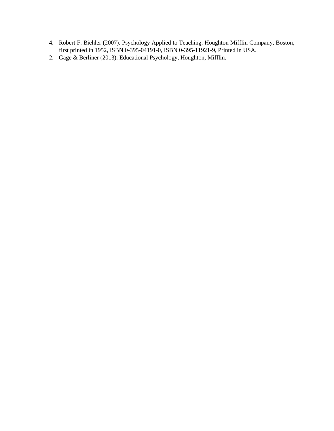- 4. Robert F. Biehler (2007). Psychology Applied to Teaching, Houghton Mifflin Company, Boston, first printed in 1952, ISBN 0-395-04191-0, ISBN 0-395-11921-9, Printed in USA.
- 2. Gage & Berliner (2013). Educational Psychology, Houghton, Mifflin.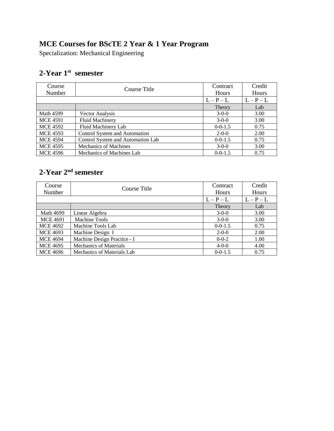# **MCE Courses for BScTE 2 Year & 1 Year Program**

Specialization: Mechanical Engineering

## **2-Year 1 st semester**

| Course<br>Number | Course Title                      | Contract<br>Hours | Credit<br>Hours |
|------------------|-----------------------------------|-------------------|-----------------|
|                  |                                   | $L-P-L$           | $L-P-L$         |
|                  |                                   | Theory            | Lab             |
| Math 4599        | Vector Analysis                   | $3-0-0$           | 3.00            |
| <b>MCE 4591</b>  | <b>Fluid Machinery</b>            | $3-0-0$           | 3.00            |
| <b>MCE 4592</b>  | Fluid Machinery Lab               | $0 - 0 - 1.5$     | 0.75            |
| <b>MCE 4593</b>  | Control System and Automation     | $2 - 0 - 0$       | 2.00            |
| <b>MCE 4594</b>  | Control System and Automation Lab | $0 - 0 - 1.5$     | 0.75            |
| <b>MCE 4595</b>  | <b>Mechanics of Machines</b>      | $3-0-0$           | 3.00            |
| <b>MCE 4596</b>  | Mechanics of Machines Lab         | $0 - 0 - 1.5$     | 0.75            |

## **2-Year 2 nd semester**

| Course<br>Number | Course Title                  | Contract<br>Hours | Credit<br>Hours |
|------------------|-------------------------------|-------------------|-----------------|
|                  |                               | $L - P - L$       | $L-P-L$         |
|                  |                               | Theory            | Lab             |
| <b>Math 4699</b> | Linear Algebra                | $3-0-0$           | 3.00            |
| <b>MCE 4691</b>  | Machine Tools                 | $3-0-0$           | 3.00            |
| <b>MCE 4692</b>  | Machine Tools Lab             | $0 - 0 - 1.5$     | 0.75            |
| <b>MCE 4693</b>  | Machine Design I              | $2 - 0 - 0$       | 2.00            |
| <b>MCE 4694</b>  | Machine Design Practice - I   | $0 - 0 - 2$       | 1.00            |
| <b>MCE 4695</b>  | <b>Mechanics of Materials</b> | $4 - 0 - 0$       | 4.00            |
| <b>MCE 4696</b>  | Mechanics of Materials Lab    | $0 - 0 - 1.5$     | 0.75            |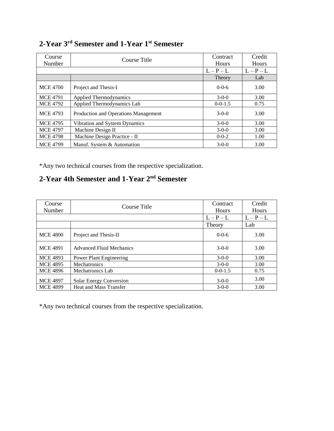| Course<br>Number | Course Title                         | Contract<br><b>Hours</b> | Credit<br>Hours |
|------------------|--------------------------------------|--------------------------|-----------------|
|                  |                                      | $L-P-L$                  | $L-P-L$         |
|                  |                                      | Theory                   | Lab             |
| <b>MCE 4700</b>  | Project and Thesis-I                 | $0-0-6$                  | 3.00            |
| <b>MCE 4791</b>  | <b>Applied Thermodynamics</b>        | $3-0-0$                  | 3.00            |
| <b>MCE 4792</b>  | Applied Thermodynamics Lab           | $0 - 0 - 1.5$            | 0.75            |
| <b>MCE 4793</b>  | Production and Operations Management | $3-0-0$                  | 3.00            |
| <b>MCE 4795</b>  | Vibration and System Dynamics        | $3-0-0$                  | 3.00            |
| <b>MCE 4797</b>  | Machine Design II                    | $3-0-0$                  | 3.00            |
| <b>MCE 4798</b>  | Machine Design Practice - II         | $0 - 0 - 2$              | 1.00            |
| <b>MCE 4799</b>  | Manuf. System & Automation           | $3-0-0$                  | 3.00            |

## **2-Year 3 rd Semester and 1-Year 1st Semester**

\*Any two technical courses from the respective specialization.

# **2-Year 4th Semester and 1-Year 2nd Semester**

| Course          | Course Title                    | Contract      | Credit      |
|-----------------|---------------------------------|---------------|-------------|
| Number          |                                 | <b>Hours</b>  | Hours       |
|                 |                                 | $L - P - L$   | $L - P - L$ |
|                 |                                 | Theory        | Lab         |
| <b>MCE 4800</b> | Project and Thesis-II           | $0-0-6$       | 3.00        |
| <b>MCE 4891</b> | <b>Advanced Fluid Mechanics</b> | $3-0-0$       | 3.00        |
| <b>MCE 4893</b> | <b>Power Plant Engineering</b>  | $3-0-0$       | 3.00        |
| <b>MCE 4895</b> | <b>Mechatronics</b>             | $3-0-0$       | 3.00        |
| <b>MCE 4896</b> | Mechatronics Lab                | $0 - 0 - 1.5$ | 0.75        |
| <b>MCE 4897</b> | <b>Solar Energy Conversion</b>  | $3-0-0$       | 3.00        |
| <b>MCE 4899</b> | Heat and Mass Transfer          | $3-0-0$       | 3.00        |

\*Any two technical courses from the respective specialization.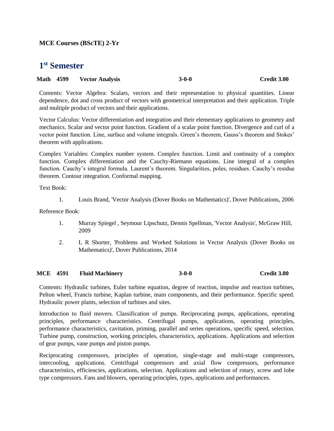## **MCE Courses (BScTE) 2-Yr**

# **1 st Semester**

#### **Math 4599 Vector Analysis 3-0-0 Credit 3.00**

Contents: Vector Algebra: Scalars, vectors and their representation to physical quantities. Linear dependence, dot and cross product of vectors with geometrical interpretation and their application. Triple and multiple product of vectors and their applications.

Vector Calculus: Vector differentiation and integration and their elementary applications to geometry and mechanics. Scalar and vector point function. Gradient of a scalar point function. Divergence and curl of a vector point function. Line, surface and volume integrals. Green's theorem, Gauss's theorem and Stokes' theorem with applications.

Complex Variables: Complex number system. Complex function. Limit and continuity of a complex function. Complex differentiation and the Cauchy-Riemann equations. Line integral of a complex function. Cauchy's integral formula. Laurent's theorem. Singularities, poles, residues. Cauchy's residue theorem. Contour integration. Conformal mapping.

Text Book:

1. Louis Brand, 'Vector Analysis (Dover Books on Mathematics)', Dover Publications, 2006

Reference Book:

- 1. Murray Spiegel , Seymour Lipschutz, Dennis Spellman, 'Vector Analysis', McGraw Hill, 2009
- 2. L R Shorter, 'Problems and Worked Solutions in Vector Analysis (Dover Books on Mathematics)', Dover Publications, 2014

#### **MCE 4591 Fluid Machinery 3-0-0 Credit 3.00**

Contents: Hydraulic turbines, Euler turbine equation, degree of reaction, impulse and reaction turbines, Pelton wheel, Francis turbine, Kaplan turbine, main components, and their performance. Specific speed. Hydraulic power plants, selection of turbines and sites.

Introduction to fluid movers. Classification of pumps. Reciprocating pumps, applications, operating principles, performance characteristics. Centrifugal pumps, applications, operating principles, performance characteristics, cavitation, priming, parallel and series operations, specific speed, selection. Turbine pump, construction, working principles, characteristics, applications. Applications and selection of gear pumps, vane pumps and piston pumps.

Reciprocating compressors, principles of operation, single-stage and multi-stage compressors, intercooling, applications. Centrifugal compressors and axial flow compressors, performance characteristics, efficiencies, applications, selection. Applications and selection of rotary, screw and lobe type compressors. Fans and blowers, operating principles, types, applications and performances.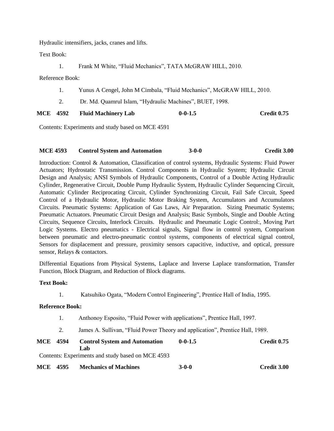Hydraulic intensifiers, jacks, cranes and lifts.

Text Book:

1. Frank M White, "Fluid Mechanics", TATA McGRAW HILL, 2010.

Reference Book:

- 1. Yunus A Cengel, John M Cimbala, "Fluid Mechanics", McGRAW HILL, 2010.
- 2. Dr. Md. Quamrul Islam, "Hydraulic Machines", BUET, 1998.

| <b>MCE 4592</b> | <b>Fluid Machinery Lab</b> | $0 - 0 - 1.5$ | Credit 0.75 |
|-----------------|----------------------------|---------------|-------------|
|                 |                            |               |             |

Contents: Experiments and study based on MCE 4591

#### **MCE 4593 Control System and Automation 3-0-0 Credit 3.00**

Introduction: Control & Automation, Classification of control systems, Hydraulic Systems: Fluid Power Actuators; Hydrostatic Transmission. Control Components in Hydraulic System; Hydraulic Circuit Design and Analysis; ANSI Symbols of Hydraulic Components, Control of a Double Acting Hydraulic Cylinder, Regenerative Circuit, Double Pump Hydraulic System, Hydraulic Cylinder Sequencing Circuit, Automatic Cylinder Reciprocating Circuit, Cylinder Synchronizing Circuit, Fail Safe Circuit, Speed Control of a Hydraulic Motor, Hydraulic Motor Braking System, Accumulators and Accumulators Circuits. Pneumatic Systems: Application of Gas Laws, Air Preparation. Sizing Pneumatic Systems; Pneumatic Actuators. Pneumatic Circuit Design and Analysis; Basic Symbols, Single and Double Acting Circuits, Sequence Circuits, Interlock Circuits. Hydraulic and Pneumatic Logic Control:, Moving Part Logic Systems. Electro pneumatics - Electrical signals, Signal flow in control system, Comparison between pneumatic and electro-pneumatic control systems, components of electrical signal control, Sensors for displacement and pressure, proximity sensors capacitive, inductive, and optical, pressure sensor, Relays & contactors.

Differential Equations from Physical Systems, Laplace and Inverse Laplace transformation, Transfer Function, Block Diagram, and Reduction of Block diagrams.

#### **Text Book:**

1. Katsuhiko Ogata, "Modern Control Engineering", Prentice Hall of India, 1995.

#### **Reference Book:**

- 1. Anthonoy Esposito, "Fluid Power with applications", Prentice Hall, 1997.
- 2. James A. Sullivan, "Fluid Power Theory and application", Prentice Hall, 1989.

| <b>MCE</b> 4594 | <b>Control System and Automation</b>              | $0 - 0 - 1.5$ | Credit 0.75 |
|-----------------|---------------------------------------------------|---------------|-------------|
|                 | ∟ab -                                             |               |             |
|                 | Contents: Experiments and study based on MCE 4593 |               |             |

**MCE 4595 Mechanics of Machines 3-0-0 Credit 3.00**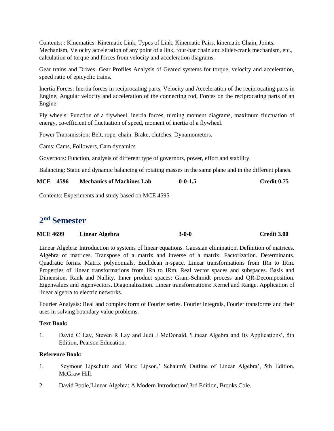Contents: : Kinematics: Kinematic Link, Types of Link, Kinematic Pairs, kinematic Chain, Joints, Mechanism, Velocity acceleration of any point of a link, four-bar chain and slider-crank mechanism, etc., calculation of torque and forces from velocity and acceleration diagrams.

Gear trains and Drives: Gear Profiles Analysis of Geared systems for torque, velocity and acceleration, speed ratio of epicyclic trains.

Inertia Forces: Inertia forces in reciprocating parts, Velocity and Acceleration of the reciprocating parts in Engine, Angular velocity and acceleration of the connecting rod, Forces on the reciprocating parts of an Engine.

Fly wheels: Function of a flywheel, inertia forces, turning moment diagrams, maximum fluctuation of energy, co-efficient of fluctuation of speed, moment of inertia of a flywheel.

Power Transmission: Belt, rope, chain. Brake, clutches, Dynamometers.

Cams: Cams, Followers, Cam dynamics

Governors: Function, analysis of different type of governors, power, effort and stability.

Balancing: Static and dynamic balancing of rotating masses in the same plane and in the different planes.

| <b>MCE 4596</b><br>$0 - 0 - 1.5$<br><b>Mechanics of Machines Lab</b> | Credit 0.75 |
|----------------------------------------------------------------------|-------------|
|----------------------------------------------------------------------|-------------|

Contents: Experiments and study based on MCE 4595

# **2 nd Semester**

| <b>MCE 4699</b> | Linear Algebra | $3-0-0$ | Credit 3.00 |
|-----------------|----------------|---------|-------------|
|-----------------|----------------|---------|-------------|

Linear Algebra: Introduction to systems of linear equations. Gaussian elimination. Definition of matrices. Algebra of matrices. Transpose of a matrix and inverse of a matrix. Factorization. Determinants. Quadratic forms. Matrix polynomials. Euclidean n-space. Linear transformations from IRn to IRm. Properties of' linear transformations from IRn to IRm. Real vector spaces and subspaces. Basis and Dimension. Rank and Nullity. Inner product spaces: Gram-Schmidt process and QR-Decomposition. Eigenvalues and eigenvectors. Diagonalization. Linear transformations: Kernel and Range. Application of linear algebra to electric networks.

Fourier Analysis: Real and complex form of Fourier series. Fourier integrals, Fourier transforms and their uses in solving boundary value problems.

#### **Text Book:**

1. David C Lay, Steven R Lay and Judi J McDonald, 'Linear Algebra and Its Applications', 5th Edition, Pearson Education.

#### **Reference Book:**

- 1. Seymour Lipschutz and Marc Lipson,' Schaum's Outline of Linear Algebra', 5th Edition, McGraw Hill.
- 2. David Poole,'Linear Algebra: A Modern Introduction',3rd Edition, Brooks Cole.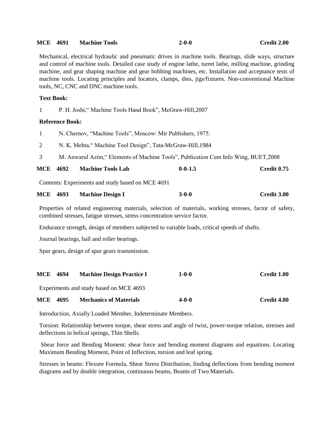| <b>MCE</b> 4691   |                        | <b>Machine Tools</b>                                                                                                                                                                                                                                                                                                                                                                                                                                                               | $2 - 0 - 0$   | Credit 2.00        |
|-------------------|------------------------|------------------------------------------------------------------------------------------------------------------------------------------------------------------------------------------------------------------------------------------------------------------------------------------------------------------------------------------------------------------------------------------------------------------------------------------------------------------------------------|---------------|--------------------|
|                   |                        | Mechanical, electrical hydraulic and pneumatic drives in machine tools. Bearings, slide ways, structure<br>and control of machine tools. Detailed case study of engine lathe, turret lathe, milling machine, grinding<br>machine, and gear shaping machine and gear hobbing machines, etc. Installation and acceptance tests of<br>machine tools. Locating principles and locators, clamps, dies, jigs/fixtures. Non-conventional Machine<br>tools, NC, CNC and DNC machine tools. |               |                    |
| <b>Text Book:</b> |                        |                                                                                                                                                                                                                                                                                                                                                                                                                                                                                    |               |                    |
| 1                 |                        | P. H. Joshi," Machine Tools Hand Book", McGraw-Hill, 2007                                                                                                                                                                                                                                                                                                                                                                                                                          |               |                    |
|                   | <b>Reference Book:</b> |                                                                                                                                                                                                                                                                                                                                                                                                                                                                                    |               |                    |
| 1                 |                        | N. Chernov, "Machine Tools", Moscow: Mir Publishers, 1975.                                                                                                                                                                                                                                                                                                                                                                                                                         |               |                    |
| $\overline{2}$    |                        | N. K. Mehta," Machine Tool Design", Tata-McGraw-Hill, 1984                                                                                                                                                                                                                                                                                                                                                                                                                         |               |                    |
| 3                 |                        | M. Anwarul Azim," Elements of Machine Tools", Publication Cum Info Wing, BUET, 2008                                                                                                                                                                                                                                                                                                                                                                                                |               |                    |
| <b>MCE</b>        | 4692                   | <b>Machine Tools Lab</b>                                                                                                                                                                                                                                                                                                                                                                                                                                                           | $0 - 0 - 1.5$ | <b>Credit 0.75</b> |
|                   |                        | Contents: Experiments and study based on MCE 4691                                                                                                                                                                                                                                                                                                                                                                                                                                  |               |                    |
| <b>MCE</b> 4693   |                        | <b>Machine Design I</b>                                                                                                                                                                                                                                                                                                                                                                                                                                                            | $3 - 0 - 0$   | Credit 3.00        |
|                   |                        | Properties of related engineering materials, selection of materials, working stresses, factor of safety,<br>combined stresses, fatigue stresses, stress concentration service factor.                                                                                                                                                                                                                                                                                              |               |                    |
|                   |                        | Endurance strength, design of members subjected to variable loads, critical speeds of shafts.                                                                                                                                                                                                                                                                                                                                                                                      |               |                    |
|                   |                        | Journal bearings, ball and roller bearings.                                                                                                                                                                                                                                                                                                                                                                                                                                        |               |                    |
|                   |                        | Spur gears, design of spur gears transmission.                                                                                                                                                                                                                                                                                                                                                                                                                                     |               |                    |
| <b>MCE</b>        | 4694                   | <b>Machine Design Practice I</b>                                                                                                                                                                                                                                                                                                                                                                                                                                                   | $1 - 0 - 0$   | Credit 1.00        |
|                   |                        | Experiments and study based on MCE 4693                                                                                                                                                                                                                                                                                                                                                                                                                                            |               |                    |
| <b>MCE</b>        | 4695                   | <b>Mechanics of Materials</b>                                                                                                                                                                                                                                                                                                                                                                                                                                                      | 4-0-0         | Credit 4.00        |

Introduction, Axially Loaded Member, Indeterminate Members.

Torsion: Relationship between torque, shear stress and angle of twist, power-torque relation, stresses and deflections in helical springs, Thin Shells.

Shear force and Bending Moment: shear force and bending moment diagrams and equations. Locating Maximum Bending Moment, Point of Inflection, torsion and leaf spring.

Stresses in beams: Flexure Formula, Shear Stress Distribution, finding deflections from bending moment diagrams and by double integration, continuous beams, Beams of Two Materials.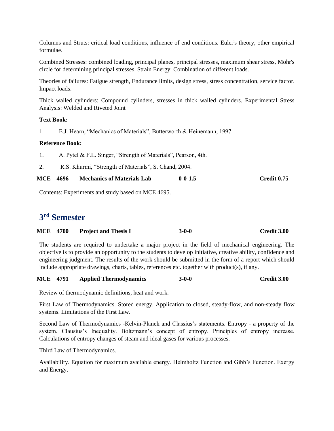Columns and Struts: critical load conditions, influence of end conditions. Euler's theory, other empirical formulae.

Combined Stresses: combined loading, principal planes, principal stresses, maximum shear stress, Mohr's circle for determining principal stresses. Strain Energy. Combination of different loads.

Theories of failures: Fatigue strength, Endurance limits, design stress, stress concentration, service factor. Impact loads.

Thick walled cylinders: Compound cylinders, stresses in thick walled cylinders. Experimental Stress Analysis: Welded and Riveted Joint

#### **Text Book:**

1. E.J. Hearn, "Mechanics of Materials", Butterworth & Heinemann, 1997.

## **Reference Book:**

1. A. Pytel & F.L. Singer, "Strength of Materials", Pearson, 4th.

2. R.S. Khurmi, "Strength of Materials", S. Chand, 2004.

| MCE<br>$0 - 0 - 1.5$<br>-4696<br><b>Mechanics of Materials Lab</b> | Credit 0.75 |
|--------------------------------------------------------------------|-------------|
|--------------------------------------------------------------------|-------------|

Contents: Experiments and study based on MCE 4695.

# **3 rd Semester**

| <b>MCE 4700</b> | <b>Project and Thesis I</b> | $3-0-0$ | <b>Credit 3.00</b> |
|-----------------|-----------------------------|---------|--------------------|
|                 |                             |         |                    |

The students are required to undertake a major project in the field of mechanical engineering. The objective is to provide an opportunity to the students to develop initiative, creative ability, confidence and engineering judgment. The results of the work should be submitted in the form of a report which should include appropriate drawings, charts, tables, references etc. together with product(s), if any.

#### **MCE 4791 Applied Thermodynamics 3-0-0 Credit 3.00**

Review of thermodynamic definitions, heat and work.

First Law of Thermodynamics. Stored energy. Application to closed, steady-flow, and non-steady flow systems. Limitations of the First Law.

Second Law of Thermodynamics -Kelvin-Planck and Classius's statements. Entropy - a property of the system. Clausius's Inequality. Boltzmann's concept of entropy. Principles of entropy increase. Calculations of entropy changes of steam and ideal gases for various processes.

Third Law of Thermodynamics.

Availability. Equation for maximum available energy. Helmholtz Function and Gibb's Function. Exergy and Energy.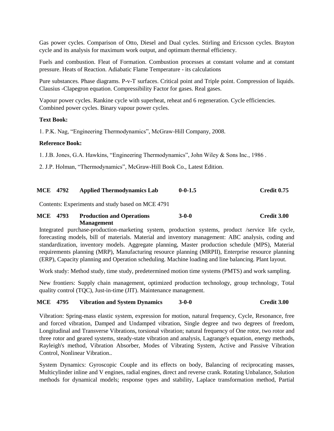Gas power cycles. Comparison of Otto, Diesel and Dual cycles. Stirling and Ericsson cycles. Brayton cycle and its analysis for maximum work output, and optimum thermal efficiency.

Fuels and combustion. Fleat of Formation. Combustion processes at constant volume and at constant pressure. Heats of Reaction. Adiabatic Flame Temperature - its calculations

Pure substances. Phase diagrams. P-v-T surfaces. Critical point and Triple point. Compression of liquids. Clausius -Clapegron equation. Compressibility Factor for gases. Real gases.

Vapour power cycles. Rankine cycle with superheat, reheat and 6 regeneration. Cycle efficiencies. Combined power cycles. Binary vapour power cycles.

#### **Text Book:**

1. P.K. Nag, "Engineering Thermodynamics", McGraw-Hill Company, 2008.

#### **Reference Book:**

1. J.B. Jones, G.A. Hawkins, "Engineering Thermodynamics", John Wiley & Sons Inc., 1986 .

2. J.P. Holman, "Thermodynamics", McGraw-Hill Book Co., Latest Edition.

#### **MCE 4792 Applied Thermodynamics Lab 0-0-1.5 Credit 0.75**

Contents: Experiments and study based on MCE 4791

#### **MCE 4793 Production and Operations Management 3-0-0 Credit 3.00**

Integrated purchase-production-marketing system, production systems, product /service life cycle, forecasting models, bill of materials. Material and inventory management: ABC analysis, coding and standardization, inventory models. Aggregate planning, Master production schedule (MPS), Material requirements planning (MRP), Manufacturing resource planning (MRPII), Enterprise resource planning (ERP), Capacity planning and Operation scheduling. Machine loading and line balancing. Plant layout.

Work study: Method study, time study, predetermined motion time systems (PMTS) and work sampling.

New frontiers: Supply chain management, optimized production technology, group technology, Total quality control (TQC), Just-in-time (JIT). Maintenance management.

#### **MCE 4795 Vibration and System Dynamics 3-0-0 Credit 3.00**

Vibration: Spring-mass elastic system, expression for motion, natural frequency, Cycle, Resonance, free and forced vibration, Damped and Undamped vibration, Single degree and two degrees of freedom, Longitudinal and Transverse Vibrations, torsional vibration; natural frequency of One rotor, two rotor and three rotor and geared systems, steady-state vibration and analysis, Lagrange's equation, energy methods, Rayleigh's method, Vibration Absorber, Modes of Vibrating System, Active and Passive Vibration Control, Nonlinear Vibration..

System Dynamics: Gyroscopic Couple and its effects on body, Balancing of reciprocating masses, Multicylinder inline and V engines, radial engines, direct and reverse crank. Rotating Unbalance, Solution methods for dynamical models; response types and stability, Laplace transformation method, Partial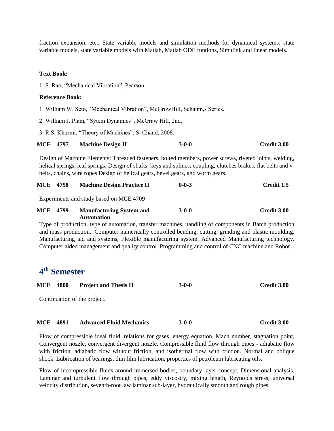fraction expansion, etc., State variable models and simulation methods for dynamical systems; state variable models, state variable models with Matlab, Matlab ODE funtions, Simulink and linear models.

#### **Text Book:**

1. S. Rao, "Mechanical Vibration", Pearson.

#### **Reference Book:**

1. William W. Seto, "Mechanical Vibration", McGrowHill, Schaum,s Series.

- 2. William J. Plam, "Sytem Dynamics", McGraw Hill, 2nd.
- 3. R.S. Khurmi, "Theory of Machines", S. Chand, 2008.

| <b>MCE 4797</b> | <b>Machine Design II</b> | $3-0-0$ | Credit 3.00 |
|-----------------|--------------------------|---------|-------------|
|                 |                          |         |             |

Design of Machine Elements: Threaded fasteners, bolted members, power screws, riveted joints, welding, helical springs, leaf springs. Design of shafts, keys and splines, coupling, clutches brakes, flat belts and vbelts, chains, wire ropes Design of helical gears, bevel gears, and worm gears.

| Credit 1.5  | $0 - 0 - 3$ | <b>Machine Design Practice II</b>                    |      | <b>MCE</b> 4798 |
|-------------|-------------|------------------------------------------------------|------|-----------------|
|             |             | Experiments and study based on MCE 4709              |      |                 |
| Credit 3.00 | $3-0-0$     | <b>Manufacturing System and</b><br><b>Automation</b> | 4799 | MCE             |

Type of production, type of automation, transfer machines, handling of components in Batch production and mass production,. Computer numerically controlled bending, cutting, grinding and plastic moulding. Manufacturing aid and systems, Flexible manufacturing system. Advanced Manufacturing technology. Computer aided management and quality control. Programming and control of CNC machine and Robot.

# **4 th Semester**

| <b>MCE 4800</b> |  | <b>Project and Thesis II</b> | $3-0-0$ | Credit 3.00 |
|-----------------|--|------------------------------|---------|-------------|
|-----------------|--|------------------------------|---------|-------------|

Continuation of the project.

**MCE 4891 Advanced Fluid Mechanics 3-0-0 Credit 3.00**

Flow of compressible ideal fluid, relations for gases, energy equation, Mach number, stagnation point, Convergent nozzle, convergent divergent nozzle. Compressible fluid flow through pipes - adiabatic flow with friction, adiabatic flow without friction, and isothermal flow with friction. Normal and oblique shock. Lubrication of bearings, thin film lubrication, properties of petroleum lubricating oils.

Flow of incompressible fluids around immersed bodies, boundary layer concept, Dimensional analysis. Laminar and turbulent flow through pipes, eddy viscosity, mixing length, Reynolds stress, universal velocity distribution, seventh-root law laminar sub-layer, hydraulically smooth and rough pipes.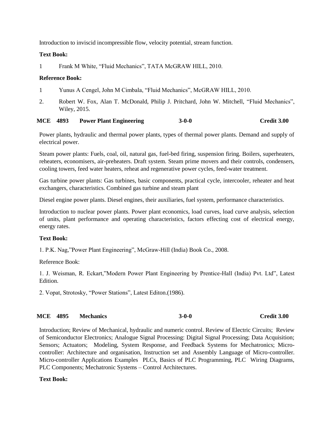Introduction to inviscid incompressible flow, velocity potential, stream function.

### **Text Book:**

1 Frank M White, "Fluid Mechanics", TATA McGRAW HILL, 2010.

### **Reference Book:**

- 1 Yunus A Cengel, John M Cimbala, "Fluid Mechanics", McGRAW HILL, 2010.
- 2. Robert W. Fox, Alan T. McDonald, Philip J. Pritchard, John W. Mitchell, "Fluid Mechanics", Wiley, 2015.

## **MCE 4893 Power Plant Engineering 3-0-0 Credit 3.00**

Power plants, hydraulic and thermal power plants, types of thermal power plants. Demand and supply of electrical power.

Steam power plants: Fuels, coal, oil, natural gas, fuel-bed firing, suspension firing. Boilers, superheaters, reheaters, economisers, air-preheaters. Draft system. Steam prime movers and their controls, condensers, cooling towers, feed water heaters, reheat and regenerative power cycles, feed-water treatment.

Gas turbine power plants: Gas turbines, basic components, practical cycle, intercooler, reheater and heat exchangers, characteristics. Combined gas turbine and steam plant

Diesel engine power plants. Diesel engines, their auxiliaries, fuel system, performance characteristics.

Introduction to nuclear power plants. Power plant economics, load curves, load curve analysis, selection of units, plant performance and operating characteristics, factors effecting cost of electrical energy, energy rates.

## **Text Book:**

1. P.K. Nag,"Power Plant Engineering", McGraw-Hill (India) Book Co., 2008.

Reference Book:

1. J. Weisman, R. Eckart,"Modern Power Plant Engineering by Prentice-Hall (India) Pvt. Ltd", Latest Edition.

2. Vopat, Strotosky, "Power Stations", Latest Editon.(1986).

## **MCE 4895 Mechanics 3-0-0 Credit 3.00**

Introduction; Review of Mechanical, hydraulic and numeric control. Review of Electric Circuits; Review of Semiconductor Electronics; Analogue Signal Processing: Digital Signal Processing; Data Acquisition; Sensors; Actuators; Modeling, System Response, and Feedback Systems for Mechatronics; Microcontroller: Architecture and organisation, Instruction set and Assembly Language of Micro-controller. Micro-controller Applications Examples PLCs, Basics of PLC Programming, PLC Wiring Diagrams, PLC Components; Mechatronic Systems – Control Architectures.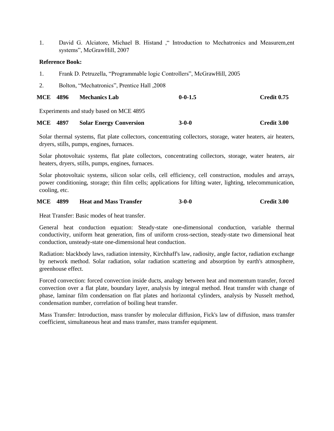1. David G. Alciatore, Michael B. Histand ," Introduction to Mechatronics and Measurem,ent systems", McGrawHill, 2007

#### **Reference Book:**

- 1. Frank D. Petruzella, "Programmable logic Controllers", McGrawHill, 2005
- 2. Bolton, "Mechatronics", Prentice Hall ,2008

| <b>MCE 4896</b> | <b>Mechanics Lab</b> | $0 - 0 - 1.5$ | Credit 0.75 |
|-----------------|----------------------|---------------|-------------|
|                 |                      |               |             |

Experiments and study based on MCE 4895

| <b>MCE 4897</b> | <b>Solar Energy Conversion</b> | $3-0-0$ | Credit 3.00 |
|-----------------|--------------------------------|---------|-------------|
|                 |                                |         |             |

Solar thermal systems, flat plate collectors, concentrating collectors, storage, water heaters, air heaters, dryers, stills, pumps, engines, furnaces.

Solar photovoltaic systems, flat plate collectors, concentrating collectors, storage, water heaters, air heaters, dryers, stills, pumps, engines, furnaces.

Solar photovoltaic systems, silicon solar cells, cell efficiency, cell construction, modules and arrays, power conditioning, storage; thin film cells; applications for lifting water, lighting, telecommunication, cooling, etc.

#### **MCE 4899 Heat and Mass Transfer 3-0-0 Credit 3.00**

Heat Transfer: Basic modes of heat transfer.

General heat conduction equation: Steady-state one-dimensional conduction, variable thermal conductivity, uniform heat generation, fins of uniform cross-section, steady-state two dimensional heat conduction, unsteady-state one-dimensional heat conduction.

Radiation: blackbody laws, radiation intensity, Kirchhaff's law, radiosity, angle factor, radiation exchange by network method. Solar radiation, solar radiation scattering and absorption by earth's atmosphere, greenhouse effect.

Forced convection: forced convection inside ducts, analogy between heat and momentum transfer, forced convection over a flat plate, boundary layer, analysis by integral method. Heat transfer with change of phase, laminar film condensation on flat plates and horizontal cylinders, analysis by Nusselt method, condensation number, correlation of boiling heat transfer.

Mass Transfer: Introduction, mass transfer by molecular diffusion, Fick's law of diffusion, mass transfer coefficient, simultaneous heat and mass transfer, mass transfer equipment.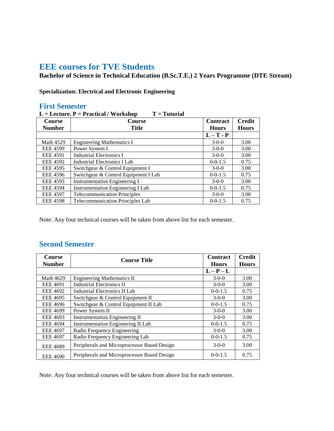# **EEE courses for TVE Students**

**Bachelor of Science in Technical Education (B.Sc.T.E.) 2 Years Programme (DTE Stream)**

## **Specialization: Electrical and Electronic Engineering**

## **First Semester**

| $T = Tutorial$<br>$L =$ Lecture. $P =$ Practical / Workshop |                                          |                 |               |  |
|-------------------------------------------------------------|------------------------------------------|-----------------|---------------|--|
| <b>Course</b>                                               | <b>Course</b>                            | <b>Contract</b> | <b>Credit</b> |  |
| <b>Number</b>                                               | <b>Title</b>                             | <b>Hours</b>    | <b>Hours</b>  |  |
|                                                             |                                          | $L-T - P$       |               |  |
| <b>Math 4529</b>                                            | <b>Engineering Mathematics I</b>         | $3-0-0$         | 3.00          |  |
| <b>EEE 4599</b>                                             | Power System I                           | $3-0-0$         | 3.00          |  |
| <b>EEE 4591</b>                                             | <b>Industrial Electronics I</b>          | $3-0-0$         | 3.00          |  |
| <b>EEE 4592</b>                                             | Industrial Electronics I Lab             | $0 - 0 - 1.5$   | 0.75          |  |
| <b>EEE 4595</b>                                             | Switchgear & Control Equipment I         | $3-0-0$         | 3.00          |  |
| <b>EEE 4596</b>                                             | Switchgear & Control Equipment I Lab     | $0 - 0 - 1.5$   | 0.75          |  |
| <b>EEE 4593</b>                                             | <b>Instrumentation Engineering I</b>     | $3-0-0$         | 3.00          |  |
| <b>EEE 4594</b>                                             | <b>Instrumentation Engineering I Lab</b> | $0 - 0 - 1.5$   | 0.75          |  |
| <b>EEE 4597</b>                                             | <b>Telecommunication Principles</b>      | $3-0-0$         | 3.00          |  |
| <b>EEE 4598</b>                                             | Telecommunication Principles Lab         | $0 - 0 - 1.5$   | 0.75          |  |

Note: Any four technical courses will be taken from above list for each semester.

## **Second Semester**

| <b>Course</b>    | <b>Course Title</b>                         | <b>Contract</b> | <b>Credit</b> |
|------------------|---------------------------------------------|-----------------|---------------|
| <b>Number</b>    |                                             | <b>Hours</b>    | <b>Hours</b>  |
|                  |                                             | $L - P - L$     |               |
| <b>Math 4629</b> | <b>Engineering Mathematics II</b>           | $3-0-0$         | 3.00          |
| <b>EEE 4691</b>  | <b>Industrial Electronics II</b>            | $3-0-0$         | 3.00          |
| <b>EEE 4692</b>  | <b>Industrial Electronics II Lab</b>        | $0-0-1.5$       | 0.75          |
| <b>EEE 4695</b>  | Switchgear & Control Equipment II           | $3-0-0$         | 3.00          |
| <b>EEE 4696</b>  | Switchgear & Control Equipment II Lab       | $0 - 0 - 1.5$   | 0.75          |
| <b>EEE 4699</b>  | Power System II                             | $3-0-0$         | 3.00          |
| <b>EEE 4693</b>  | <b>Instrumentation Engineering II</b>       | $3-0-0$         | 3.00          |
| <b>EEE 4694</b>  | <b>Instrumentation Engineering II Lab</b>   | $0 - 0 - 1.5$   | 0.75          |
| <b>EEE 4697</b>  | Radio Frequency Engineering                 | $3-0-0$         | 3.00          |
| <b>EEE 4697</b>  | Radio Frequency Engineering Lab             | $0 - 0 - 1.5$   | 0.75          |
| <b>EEE 4689</b>  | Peripherals and Microprocessor Based Design | $3-0-0$         | 3.00          |
| <b>EEE 4690</b>  | Peripherals and Microprocessor Based Design | $0 - 0 - 1.5$   | 0.75          |

Note: Any four technical courses will be taken from above list for each semester.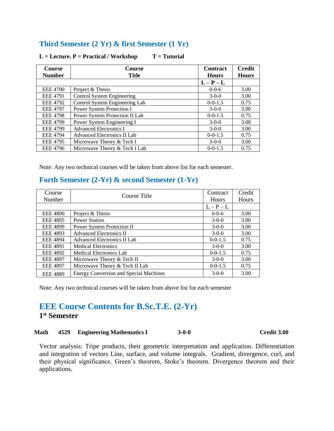## **Third Semester (2 Yr) & first Semester (1 Yr)**

| <b>Course</b><br><b>Number</b> | <b>Course</b><br><b>Title</b>      | <b>Contract</b><br><b>Hours</b> | <b>Credit</b><br><b>Hours</b> |
|--------------------------------|------------------------------------|---------------------------------|-------------------------------|
|                                |                                    | $L - P - L$                     |                               |
| <b>EEE 4700</b>                | Project & Thesis                   | $0 - 0 - 6$                     | 3.00                          |
| <b>EEE 4791</b>                | Control System Engineering         | $3-0-0$                         | 3.00                          |
| <b>EEE 4792</b>                | Control System Engineering Lab     | $0 - 0 - 1.5$                   | 0.75                          |
| <b>EEE 4797</b>                | Power System Protection I          | $3-0-0$                         | 3.00                          |
| <b>EEE 4798</b>                | Power System Protection II Lab     | $0 - 0 - 1.5$                   | 0.75                          |
| <b>EEE 4799</b>                | Power System Engineering I         | $3-0-0$                         | 3.00                          |
| <b>EEE 4799</b>                | <b>Advanced Electronics I</b>      | $3-0-0$                         | 3.00                          |
| <b>EEE 4794</b>                | <b>Advanced Electronics II Lab</b> | $0 - 0 - 1.5$                   | 0.75                          |
| <b>EEE 4795</b>                | Microwave Theory & Tech I          | $3-0-0$                         | 3.00                          |
| <b>EEE 4796</b>                | Microwave Theory & Tech I Lab      | $0 - 0 - 1.5$                   | 0.75                          |

### L = Lecture. P = Practical / Workshop T = Tutorial

Note: Any two technical courses will be taken from above list for each semester.

## **Forth Semester (2-Yr) & second Semester (1-Yr)**

| Course          | Course Title                                  | Contract      | Credit |
|-----------------|-----------------------------------------------|---------------|--------|
| Number          |                                               | <b>Hours</b>  | Hours  |
|                 |                                               | $L - P - L$   |        |
| <b>EEE 4800</b> | Project & Thesis                              | $0 - 0 - 6$   | 3.00   |
| <b>EEE 4895</b> | <b>Power Station</b>                          | $3-0-0$       | 3.00   |
| <b>EEE 4899</b> | <b>Power System Protection II</b>             | $3-0-0$       | 3.00   |
| <b>EEE 4893</b> | <b>Advanced Electronics II</b>                | $3-0-0$       | 3.00   |
| <b>EEE 4894</b> | Advanced Electronics II Lab                   | $0 - 0 - 1.5$ | 0.75   |
| <b>EEE 4891</b> | <b>Medical Electronics</b>                    | $3-0-0$       | 3.00   |
| <b>EEE 4892</b> | <b>Medical Electronics Lab</b>                | $0-0-1.5$     | 0.75   |
| <b>EEE 4897</b> | Microwave Theory & Tech II                    | $3-0-0$       | 3.00   |
| <b>EEE 4897</b> | Microwave Theory & Tech II Lab                | $0 - 0 - 1.5$ | 0.75   |
| <b>EEE 4889</b> | <b>Energy Conversion and Special Machines</b> | $3-0-0$       | 3.00   |

Note: Any two technical courses will be taken from above list for each semester

# **EEE Course Contents for B.Sc.T.E. (2-Yr) 1 st Semester**

#### **Math 4529 Engineering Mathematics I 3-0-0 Credit 3.00**

Vector analysis: Tripe products, their geometric interpretation and application. Differentiation and integration of vectors Line, surface, and volume integrals. Gradient, divergence, curl, and their physical significance. Green's theorem, Stoke's theorem. Divergence theorem and their applications.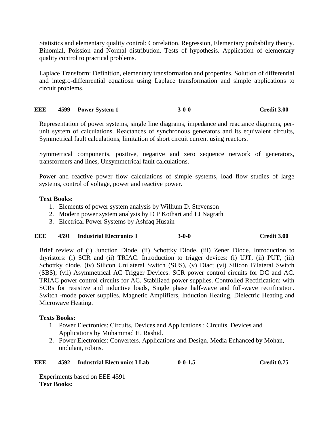Statistics and elementary quality control: Correlation. Regression, Elementary probability theory. Binomial, Poission and Normal distribution. Tests of hypothesis. Application of elementary quality control to practical problems.

Laplace Transform: Definition, elementary transformation and properties. Solution of differential and integro-diffenrential equatiosn using Laplace transformation and simple applications to circuit problems.

## **EEE 4599 Power System 1 3-0-0 Credit 3.00**

Representation of power systems, single line diagrams, impedance and reactance diagrams, perunit system of calculations. Reactances of synchronous generators and its equivalent circuits, Symmetrical fault calculations, limitation of short circuit current using reactors.

Symmetrical components, positive, negative and zero sequence network of generators, transformers and lines, Unsymmetrical fault calculations.

Power and reactive power flow calculations of simple systems, load flow studies of large systems, control of voltage, power and reactive power.

## **Text Books:**

- 1. Elements of power system analysis by Willium D. Stevenson
- 2. Modern power system analysis by D P Kothari and I J Nagrath
- 3. Electrical Power Systems by Ashfaq Husain

## **EEE 4591 Industrial Electronics I 3-0-0 Credit 3.00**

Brief review of (i) Junction Diode, (ii) Schottky Diode, (iii) Zener Diode. Introduction to thyristors: (i) SCR and (ii) TRIAC. Introduction to trigger devices: (i) UJT, (ii) PUT, (iii) Schottky diode, (iv) Silicon Unilateral Switch (SUS), (v) Diac; (vi) Silicon Bilateral Switch (SBS); (vii) Asymmetrical AC Trigger Devices. SCR power control circuits for DC and AC. TRIAC power control circuits for AC. Stabilized power supplies. Controlled Rectification: with SCRs for resistive and inductive loads, Single phase half-wave and full-wave rectification. Switch -mode power supplies. Magnetic Amplifiers, Induction Heating, Dielectric Heating and Microwave Heating.

## **Texts Books:**

- 1. Power Electronics: Circuits, Devices and Applications : Circuits, Devices and Applications by Muhammad H. Rashid.
- 2. Power Electronics: Converters, Applications and Design, Media Enhanced by Mohan, undulant, robins.

| EEE | 4592 | <b>Industrial Electronics I Lab</b> | $0 - 0 - 1.5$ | Credit 0.75 |
|-----|------|-------------------------------------|---------------|-------------|
|-----|------|-------------------------------------|---------------|-------------|

Experiments based on EEE 4591 **Text Books:**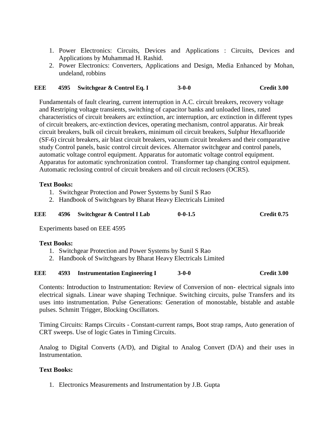- 1. Power Electronics: Circuits, Devices and Applications : Circuits, Devices and Applications by Muhammad H. Rashid.
- 2. Power Electronics: Converters, Applications and Design, Media Enhanced by Mohan, undeland, robbins

### **EEE 4595 Switchgear & Control Eq. I 3-0-0 Credit 3.00**

Fundamentals of fault clearing, current interruption in A.C. circuit breakers, recovery voltage and Restriping voltage transients, switching of capacitor banks and unloaded lines, rated characteristics of circuit breakers arc extinction, arc interruption, arc extinction in different types of circuit breakers, arc-extinction devices, operating mechanism, control apparatus. Air break circuit breakers, bulk oil circuit breakers, minimum oil circuit breakers, Sulphur Hexafluoride (SF-6) circuit breakers, air blast circuit breakers, vacuum circuit breakers and their comparative study Control panels, basic control circuit devices. Alternator switchgear and control panels, automatic voltage control equipment. Apparatus for automatic voltage control equipment. Apparatus for automatic synchronization control. Transformer tap changing control equipment. Automatic reclosing control of circuit breakers and oil circuit reclosers (OCRS).

### **Text Books:**

- 1. Switchgear Protection and Power Systems by Sunil S Rao
- 2. Handbook of Switchgears by Bharat Heavy Electricals Limited

| EEE | 4596 Switchgear & Control I Lab | $0 - 0 - 1.5$ | Credit 0.75 |
|-----|---------------------------------|---------------|-------------|
|     |                                 |               |             |

Experiments based on EEE 4595

#### **Text Books:**

- 1. Switchgear Protection and Power Systems by Sunil S Rao
- 2. Handbook of Switchgears by Bharat Heavy Electricals Limited

#### **EEE 4593 Instrumentation Engineering I 3-0-0 Credit 3.00**

Contents: Introduction to Instrumentation: Review of Conversion of non- electrical signals into electrical signals. Linear wave shaping Technique. Switching circuits, pulse Transfers and its uses into instrumentation. Pulse Generations: Generation of monostable, bistable and astable pulses. Schmitt Trigger, Blocking Oscillators.

Timing Circuits: Ramps Circuits - Constant-current ramps, Boot strap ramps, Auto generation of CRT sweeps. Use of logic Gates in Timing Circuits.

Analog to Digital Converts (A/D), and Digital to Analog Convert (D/A) and their uses in Instrumentation.

#### **Text Books:**

1. Electronics Measurements and Instrumentation by J.B. Gupta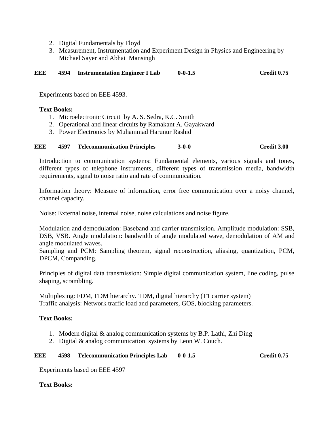- 2. Digital Fundamentals by Floyd
- 3. Measurement, Instrumentation and Experiment Design in Physics and Engineering by Michael Sayer and Abhai Mansingh

**EEE 4594 Instrumentation Engineer I Lab 0-0-1.5 Credit 0.75**

Experiments based on EEE 4593.

### **Text Books:**

- 1. Microelectronic Circuit by A. S. Sedra, K.C. Smith
- 2. Operational and linear circuits by Ramakant A. Gayakward
- 3. Power Electronics by Muhammad Harunur Rashid

### **EEE 4597 Telecommunication Principles 3-0-0 Credit 3.00**

Introduction to communication systems: Fundamental elements, various signals and tones, different types of telephone instruments, different types of transmission media, bandwidth requirements, signal to noise ratio and rate of communication.

Information theory: Measure of information, error free communication over a noisy channel, channel capacity.

Noise: External noise, internal noise, noise calculations and noise figure.

Modulation and demodulation: Baseband and carrier transmission. Amplitude modulation: SSB, DSB, VSB. Angle modulation: bandwidth of angle modulated wave, demodulation of AM and angle modulated waves.

Sampling and PCM: Sampling theorem, signal reconstruction, aliasing, quantization, PCM, DPCM, Companding.

Principles of digital data transmission: Simple digital communication system, line coding, pulse shaping, scrambling.

Multiplexing: FDM, FDM hierarchy. TDM, digital hierarchy (T1 carrier system) Traffic analysis: Network traffic load and parameters, GOS, blocking parameters.

## **Text Books:**

- 1. Modern digital & analog communication systems by B.P. Lathi, Zhi Ding
- 2. Digital & analog communication systems by Leon W. Couch.

#### **EEE 4598 Telecommunication Principles Lab 0-0-1.5 Credit 0.75**

Experiments based on EEE 4597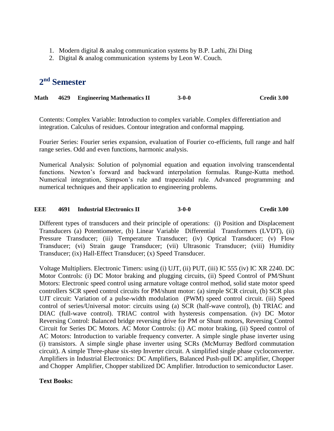- 1. Modern digital & analog communication systems by B.P. Lathi, Zhi Ding
- 2. Digital & analog communication systems by Leon W. Couch.

# **2 nd Semester**

**Math 4629 Engineering Mathematics II 3-0-0 Credit 3.00**

Contents: Complex Variable: Introduction to complex variable. Complex differentiation and integration. Calculus of residues. Contour integration and conformal mapping.

Fourier Series: Fourier series expansion, evaluation of Fourier co-efficients, full range and half range series. Odd and even functions, harmonic analysis.

Numerical Analysis: Solution of polynomial equation and equation involving transcendental functions. Newton's forward and backward interpolation formulas. Runge-Kutta method. Numerical integration, Simpson's rule and trapezoidal rule. Advanced programming and numerical techniques and their application to engineering problems.

## **EEE 4691 Industrial Electronics II 3-0-0 Credit 3.00**

Different types of transducers and their principle of operations: (i) Position and Displacement Transducers (a) Potentiometer, (b) Linear Variable Differential Transformers (LVDT), (ii) Pressure Transducer; (iii) Temperature Transducer; (iv) Optical Transducer; (v) Flow Transducer; (vi) Strain gauge Transducer; (vii) Ultrasonic Transducer; (viii) Humidity Transducer; (ix) Hall-Effect Transducer; (x) Speed Transducer.

Voltage Multipliers. Electronic Timers: using (i) UJT, (ii) PUT, (iii) IC 555 (iv) IC XR 2240. DC Motor Controls: (i) DC Motor braking and plugging circuits, (ii) Speed Control of PM/Shunt Motors: Electronic speed control using armature voltage control method, solid state motor speed controllers SCR speed control circuits for PM/shunt motor: (a) simple SCR circuit, (b) SCR plus UJT circuit: Variation of a pulse-width modulation (PWM) speed control circuit. (iii) Speed control of series/Universal motor: circuits using (a) SCR (half-wave control), (b) TRIAC and DIAC (full-wave control). TRIAC control with hysteresis compensation. (iv) DC Motor Reversing Control: Balanced bridge reversing drive for PM or Shunt motors, Reversing Control Circuit for Series DC Motors. AC Motor Controls: (i) AC motor braking, (ii) Speed control of AC Motors: Introduction to variable frequency converter. A simple single phase inverter using (i) transistors. A simple single phase inverter using SCRs (McMurray Bedford commutation circuit). A simple Three-phase six-step Inverter circuit. A simplified single phase cycloconverter. Amplifiers in Industrial Electronics: DC Amplifiers, Balanced Push-pull DC amplifier, Chopper and Chopper Amplifier, Chopper stabilized DC Amplifier. Introduction to semiconductor Laser.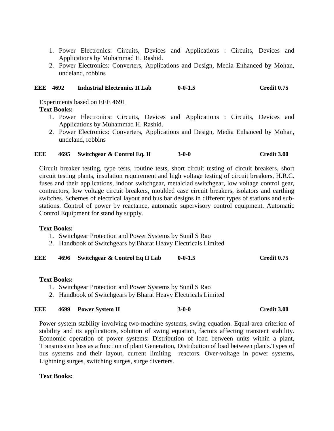- 1. Power Electronics: Circuits, Devices and Applications : Circuits, Devices and Applications by Muhammad H. Rashid.
- 2. Power Electronics: Converters, Applications and Design, Media Enhanced by Mohan, undeland, robbins

### **EEE 4692 Industrial Electronics II Lab 0-0-1.5 Credit 0.75**

Experiments based on EEE 4691

## **Text Books:**

- 1. Power Electronics: Circuits, Devices and Applications : Circuits, Devices and Applications by Muhammad H. Rashid.
- 2. Power Electronics: Converters, Applications and Design, Media Enhanced by Mohan, undeland, robbins

## **EEE 4695 Switchgear & Control Eq. II 3-0-0 Credit 3.00**

Circuit breaker testing, type tests, routine tests, short circuit testing of circuit breakers, short circuit testing plants, insulation requirement and high voltage testing of circuit breakers, H.R.C. fuses and their applications, indoor switchgear, metalclad switchgear, low voltage control gear, contractors, low voltage circuit breakers, moulded case circuit breakers, isolators and earthing switches. Schemes of electrical layout and bus bar designs in different types of stations and substations. Control of power by reactance, automatic supervisory control equipment. Automatic Control Equipment for stand by supply.

## **Text Books:**

- 1. Switchgear Protection and Power Systems by Sunil S Rao
- 2. Handbook of Switchgears by Bharat Heavy Electricals Limited

**EEE 4696 Switchgear & Control Eq II Lab 0-0-1.5 Credit 0.75**

## **Text Books:**

- 1. Switchgear Protection and Power Systems by Sunil S Rao
- 2. Handbook of Switchgears by Bharat Heavy Electricals Limited

## **EEE 4699 Power System II 3-0-0 Credit 3.00**

Power system stability involving two-machine systems, swing equation. Equal-area criterion of stability and its applications, solution of swing equation, factors affecting transient stability. Economic operation of power systems: Distribution of load between units within a plant, Transmission loss as a function of plant Generation, Distribution of load between plants.Types of bus systems and their layout, current limiting reactors. Over-voltage in power systems, Lightning surges, switching surges, surge diverters.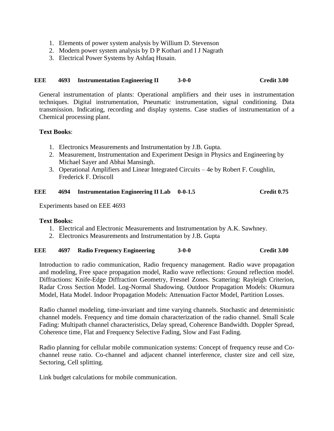- 1. Elements of power system analysis by Willium D. Stevenson
- 2. Modern power system analysis by D P Kothari and I J Nagrath
- 3. Electrical Power Systems by Ashfaq Husain.

### **EEE 4693 Instrumentation Engineering II 3-0-0 Credit 3.00**

General instrumentation of plants: Operational amplifiers and their uses in instrumentation techniques. Digital instrumentation, Pneumatic instrumentation, signal conditioning. Data transmission. Indicating, recording and display systems. Case studies of instrumentation of a Chemical processing plant.

## **Text Books**:

- 1. Electronics Measurements and Instrumentation by J.B. Gupta.
- 2. Measurement, Instrumentation and Experiment Design in Physics and Engineering by Michael Sayer and Abhai Mansingh.
- 3. Operational Amplifiers and Linear Integrated Circuits 4e by Robert F. Coughlin, Frederick F. Driscoll

#### **EEE 4694 Instrumentation Engineering II Lab 0-0-1.5 Credit 0.75**

Experiments based on EEE 4693

## **Text Books:**

- 1. Electrical and Electronic Measurements and Instrumentation by A.K. Sawhney.
- 2. Electronics Measurements and Instrumentation by J.B. Gupta

#### **EEE 4697 Radio Frequency Engineering 3-0-0 Credit 3.00**

Introduction to radio communication, Radio frequency management. Radio wave propagation and modeling, Free space propagation model, Radio wave reflections: Ground reflection model. Diffractions: Knife-Edge Diffraction Geometry, Fresnel Zones. Scattering: Rayleigh Criterion, Radar Cross Section Model. Log-Normal Shadowing. Outdoor Propagation Models: Okumura Model, Hata Model. Indoor Propagation Models: Attenuation Factor Model, Partition Losses.

Radio channel modeling, time-invariant and time varying channels. Stochastic and deterministic channel models. Frequency and time domain characterization of the radio channel. Small Scale Fading: Multipath channel characteristics, Delay spread, Coherence Bandwidth. Doppler Spread, Coherence time, Flat and Frequency Selective Fading, Slow and Fast Fading.

Radio planning for cellular mobile communication systems: Concept of frequency reuse and Cochannel reuse ratio. Co-channel and adjacent channel interference, cluster size and cell size, Sectoring, Cell splitting.

Link budget calculations for mobile communication.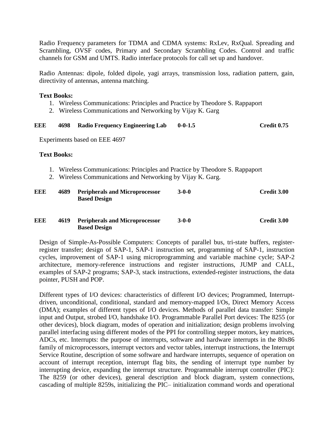Radio Frequency parameters for TDMA and CDMA systems: RxLev, RxQual. Spreading and Scrambling, OVSF codes, Primary and Secondary Scrambling Codes. Control and traffic channels for GSM and UMTS. Radio interface protocols for call set up and handover.

Radio Antennas: dipole, folded dipole, yagi arrays, transmission loss, radiation pattern, gain, directivity of antennas, antenna matching.

### **Text Books:**

- 1. Wireless Communications: Principles and Practice by Theodore S. Rappaport
- 2. Wireless Communications and Networking by Vijay K. Garg

#### **EEE 4698 Radio Frequency Engineering Lab 0-0-1.5 Credit 0.75**

Experiments based on EEE 4697

### **Text Books:**

- 1. Wireless Communications: Principles and Practice by Theodore S. Rappaport
- 2. Wireless Communications and Networking by Vijay K. Garg.

| EEE | 4689 | <b>Peripherals and Microprocessor</b><br><b>Based Design</b> | $3 - 0 - 0$ | Credit 3.00 |
|-----|------|--------------------------------------------------------------|-------------|-------------|
| EEE | 4619 | <b>Peripherals and Microprocessor</b><br><b>Based Design</b> | $3-0-0$     | Credit 3.00 |

Design of Simple-As-Possible Computers: Concepts of parallel bus, tri-state buffers, registerregister transfer; design of SAP-1, SAP-1 instruction set, programming of SAP-1, instruction cycles, improvement of SAP-1 using microprogramming and variable machine cycle; SAP-2 architecture, memory-reference instructions and register instructions, JUMP and CALL, examples of SAP-2 programs; SAP-3, stack instructions, extended-register instructions, the data pointer, PUSH and POP.

Different types of I/O devices: characteristics of different I/O devices; Programmed, Interruptdriven, unconditional, conditional, standard and memory-mapped I/Os, Direct Memory Access (DMA); examples of different types of I/O devices. Methods of parallel data transfer: Simple input and Output, strobed I/O, handshake I/O. Programmable Parallel Port devices: The 8255 (or other devices), block diagram, modes of operation and initialization; design problems involving parallel interfacing using different modes of the PPI for controlling stepper motors, key matrices, ADCs, etc. Interrupts: the purpose of interrupts, software and hardware interrupts in the 80x86 family of microprocessors, interrupt vectors and vector tables, interrupt instructions, the Interrupt Service Routine, description of some software and hardware interrupts, sequence of operation on account of interrupt reception, interrupt flag bits, the sending of interrupt type number by interrupting device, expanding the interrupt structure. Programmable interrupt controller (PIC): The 8259 (or other devices), general description and block diagram, system connections, cascading of multiple 8259s, initializing the PIC– initialization command words and operational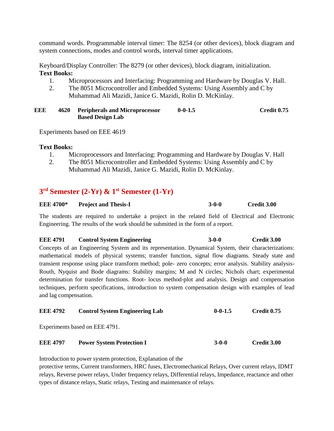command words. Programmable interval timer: The 8254 (or other devices), block diagram and system connections, modes and control words, interval timer applications.

Keyboard/Display Controller: The 8279 (or other devices), block diagram, initialization. **Text Books:**

- 1. Microprocessors and Interfacing: Programming and Hardware by Douglas V. Hall.
- 2. The 8051 Microcontroller and Embedded Systems: Using Assembly and C by Muhammad Ali Mazidi, Janice G. Mazidi, Rolin D. McKinlay.

#### **EEE 4620 Peripherals and Microprocessor Based Design Lab 0-0-1.5 Credit 0.75**

Experiments based on EEE 4619

#### **Text Books:**

- 1. Microprocessors and Interfacing: Programming and Hardware by Douglas V. Hall
- 2. The 8051 Microcontroller and Embedded Systems: Using Assembly and C by Muhammad Ali Mazidi, Janice G. Mazidi, Rolin D. McKinlay.

## **3 rd Semester (2-Yr) & 1st Semester (1-Yr)**

| <b>EEE 4700*</b> | <b>Project and Thesis-I</b> | $3 - 0 - 0$ | Credit 3.00 |
|------------------|-----------------------------|-------------|-------------|
|------------------|-----------------------------|-------------|-------------|

The students are required to undertake a project in the related field of Electrical and Electronic Engineering. The results of the work should be submitted in the form of a report.

## **EEE 4791 Control System Engineering 3-0-0 Credit 3.00** Concepts of an Engineering System and its representation. Dynamical System, their characterizations: mathematical models of physical systems; transfer function, signal flow diagrams. Steady state and transient response using place transform method; pole- zero concepts; error analysis. Stability analysis-Routh, Nyquist and Bode diagrams: Stability margins; M and N circles; Nichols chart; experimental determination for transfer functions. Root- locus method-plot and analysis. Design and compensation techniques, perform specifications, introduction to system compensation design with examples of lead and lag compensation.

| <b>EEE 4792</b> | <b>Control System Engineering Lab</b> | $0 - 0 - 1.5$ | Credit 0.75 |
|-----------------|---------------------------------------|---------------|-------------|
|                 | Experiments based on EEE 4791.        |               |             |
| <b>EEE 4797</b> | <b>Power System Protection I</b>      | $3-0-0$       | Credit 3.00 |

Introduction to power system protection, Explanation of the

protective terms, Current transformers, HRC fuses, Electromechanical Relays, Over current relays, IDMT relays, Reverse power relays, Under frequency relays, Differential relays, Impedance, reactance and other types of distance relays, Static relays, Testing and maintenance of relays.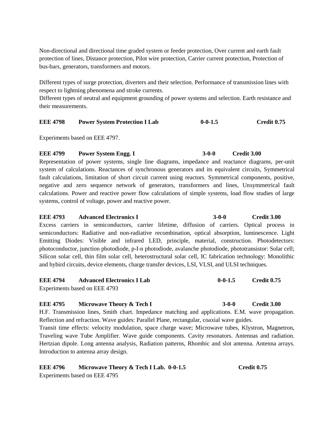Non-directional and directional time graded system or feeder protection, Over current and earth fault protection of lines, Distance protection, Pilot wire protection, Carrier current protection, Protection of bus-bars, generators, transformers and motors.

Different types of surge protection, diverters and their selection. Performance of transmission lines with respect to lightning phenomena and stroke currents.

Different types of neutral and equipment grounding of power systems and selection. Earth resistance and their measurements.

### **EEE 4798 Power System Protection I Lab 0-0-1.5 Credit 0.75**

Experiments based on EEE 4797.

#### **EEE 4799 Power System Engg. I** 3-0-0 **Credit 3.00**

Representation of power systems, single line diagrams, impedance and reactance diagrams, per-unit system of calculations. Reactances of synchronous generators and its equivalent circuits, Symmetrical fault calculations, limitation of short circuit current using reactors. Symmetrical components, positive, negative and zero sequence network of generators, transformers and lines, Unsymmetrical fault calculations. Power and reactive power flow calculations of simple systems, load flow studies of large systems, control of voltage, power and reactive power.

**EEE 4793 Advanced Electronics I 3-0-0 Credit 3.00** Excess carriers in semiconductors, carrier lifetime, diffusion of carriers. Optical process in semiconductors: Radiative and non-radiative recombination, optical absorption, luminescence. Light Emitting Diodes: Visible and infrared LED, principle, material, construction. Photodetectors: photoconductor, junction photodiode, p-I-n photodiode, avalanche photodiode, phototransistor: Solar cell; Silicon solar cell, thin film solar cell, heterostructural solar cell, IC fabrication technology: Monolithic and hybird circuits, device elements, charge transfer devices, LSI, VLSI, and ULSI techniques.

| <b>EEE 4794</b> | <b>Advanced Electronics I Lab</b> | $0 - 0 - 1.5$ | Credit 0.75 |
|-----------------|-----------------------------------|---------------|-------------|
|                 | Experiments based on EEE 4793     |               |             |

#### **EEE 4795 Microwave Theory & Tech I 3-0-0 Credit 3.00**

H.F. Transmission lines, Smith chart. Impedance matching and applications. E.M. wave propagation. Reflection and refraction. Wave guides: Parallel Plane, rectangular, coaxial wave guides.

Transit time effects: velocity modulation, space charge wave; Microwave tubes, Klystron, Magnetron, Traveling wave Tube Amplifier. Wave guide components. Cavity resonators. Antennas and radiation. Hertzian dipole. Long antenna analysis, Radiation patterns, Rhombic and slot antenna. Antenna arrays. Introduction to antenna array design.

#### **EEE 4796 Microwave Theory & Tech I Lab. 0-0-1.5** Credit 0.75 Experiments based on EEE 4795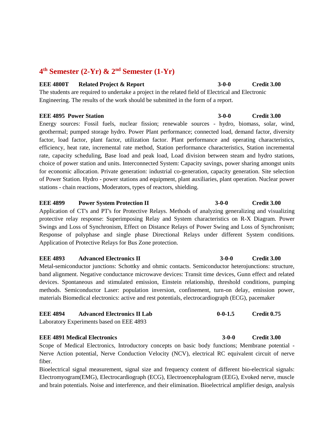## **4 th Semester (2-Yr) & 2nd Semester (1-Yr)**

#### **EEE 4800T** Related Project & Report 3-0-0 Credit 3.00

The students are required to undertake a project in the related field of Electrical and Electronic Engineering. The results of the work should be submitted in the form of a report.

#### **EEE 4895 Power Station 3-0-0 Credit 3.00**

Energy sources: Fossil fuels, nuclear fission; renewable sources - hydro, biomass, solar, wind, geothermal; pumped storage hydro. Power Plant performance; connected load, demand factor, diversity factor, load factor, plant factor, utilization factor. Plant performance and operating characteristics, efficiency, heat rate, incremental rate method, Station performance characteristics, Station incremental rate, capacity scheduling, Base load and peak load, Load division between steam and hydro stations, choice of power station and units. Interconnected System: Capacity savings, power sharing amongst units for economic allocation. Private generation: industrial co-generation, capacity generation. Site selection of Power Station. Hydro - power stations and equipment, plant auxiliaries, plant operation. Nuclear power stations - chain reactions, Moderators, types of reactors, shielding.

#### **EEE 4899 Power System Protection II 3-0-0 Credit 3.00**

Application of CT's and PT's for Protective Relays. Methods of analyzing generalizing and visualizing protective relay response: Superimposing Relay and System characteristics on R-X Diagram. Power Swings and Loss of Synchronism, Effect on Distance Relays of Power Swing and Loss of Synchronism; Response of polyphase and single phase Directional Relays under different System conditions. Application of Protective Relays for Bus Zone protection.

#### **EEE 4893** • **Advanced Electronics II** 3-0-0 • Credit 3.00

Metal-semiconductor junctions: Schottky and ohmic contacts. Semiconductor heterojunctions: structure, band alignment. Negative conductance microwave devices: Transit time devices, Gunn effect and related devices. Spontaneous and stimulated emission, Einstein relationship, threshold conditions, pumping methods. Semiconductor Laser: population inversion, confinement, turn-on delay, emission power, materials Biomedical electronics: active and rest potentials, electrocardiograph (ECG), pacemaker

| <b>EEE 4894</b> | <b>Advanced Electronics II Lab</b>       | $0 - 0 - 1.5$ | Credit 0.75 |
|-----------------|------------------------------------------|---------------|-------------|
|                 | Laboratory Experiments based on EEE 4893 |               |             |

#### **EEE 4891 Medical Electronics 3-0-0 Credit 3.00**

Scope of Medical Electronics, Introductory concepts on basic body functions; Membrane potential - Nerve Action potential, Nerve Conduction Velocity (NCV), electrical RC equivalent circuit of nerve fiber.

Bioelectrical signal measurement, signal size and frequency content of different bio-electrical signals: Electromyogram(EMG), Electrocardiograph (ECG), Electroencephalogram (EEG), Evoked nerve, muscle and brain potentials. Noise and interference, and their elimination. Bioelectrical amplifier design, analysis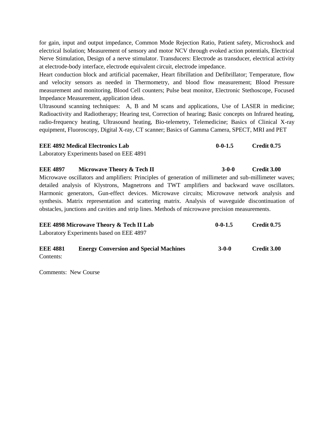for gain, input and output impedance, Common Mode Rejection Ratio, Patient safety, Microshock and electrical Isolation; Measurement of sensory and motor NCV through evoked action potentials, Electrical Nerve Stimulation, Design of a nerve stimulator. Transducers: Electrode as transducer, electrical activity at electrode-body interface, electrode equivalent circuit, electrode impedance.

Heart conduction block and artificial pacemaker, Heart fibrillation and Defibrillator; Temperature, flow and velocity sensors as needed in Thermometry, and blood flow measurement; Blood Pressure measurement and monitoring, Blood Cell counters; Pulse beat monitor, Electronic Stethoscope, Focused Impedance Measurement, application ideas.

Ultrasound scanning techniques: A, B and M scans and applications, Use of LASER in medicine; Radioactivity and Radiotherapy; Hearing test, Correction of hearing; Basic concepts on Infrared heating, radio-frequency heating, Ultrasound heating, Bio-telemetry, Telemedicine; Basics of Clinical X-ray equipment, Fluoroscopy, Digital X-ray, CT scanner; Basics of Gamma Camera, SPECT, MRI and PET

| <b>EEE 4892 Medical Electronics Lab</b>  | $0 - 0 - 1.5$ | Credit 0.75 |
|------------------------------------------|---------------|-------------|
| Laboratory Experiments based on EEE 4891 |               |             |

**EEE 4897 Microwave Theory & Tech II** 3-0-0 **Credit 3.00** 

Microwave oscillators and amplifiers: Principles of generation of millimeter and sub-millimeter waves; detailed analysis of Klystrons, Magnetrons and TWT amplifiers and backward wave oscillators. Harmonic generators, Gun-effect devices. Microwave circuits; Microwave network analysis and synthesis. Matrix representation and scattering matrix. Analysis of waveguide discontinuation of obstacles, junctions and cavities and strip lines. Methods of microwave precision measurements.

| <b>EEE 4898 Microwave Theory &amp; Tech II Lab</b> |                                               | $0 - 0 - 1.5$ | <b>Credit 0.75</b> |  |
|----------------------------------------------------|-----------------------------------------------|---------------|--------------------|--|
|                                                    | Laboratory Experiments based on EEE 4897      |               |                    |  |
| <b>EEE 4881</b>                                    | <b>Energy Conversion and Special Machines</b> | $3-0-0$       | Credit 3.00        |  |

Contents:

Comments: New Course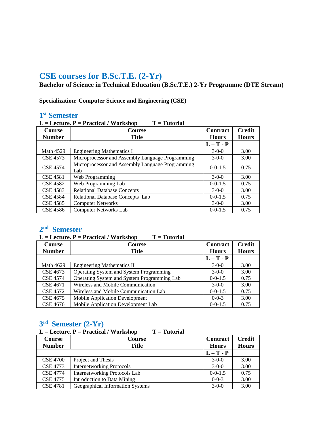# **CSE courses for B.Sc.T.E. (2-Yr)**

**Bachelor of Science in Technical Education (B.Sc.T.E.) 2-Yr Programme (DTE Stream)**

**Specialization: Computer Science and Engineering (CSE)**

## **1 st Semester**

| $L =$ Lecture. $P =$ Practical / Workshop<br>$T = Tutorial$ |                                                         |                                 |                               |  |
|-------------------------------------------------------------|---------------------------------------------------------|---------------------------------|-------------------------------|--|
| <b>Course</b><br><b>Number</b>                              | <b>Course</b><br><b>Title</b>                           | <b>Contract</b><br><b>Hours</b> | <b>Credit</b><br><b>Hours</b> |  |
|                                                             |                                                         | $L-T - P$                       |                               |  |
| <b>Math 4529</b>                                            | <b>Engineering Mathematics I</b>                        | $3-0-0$                         | 3.00                          |  |
| <b>CSE 4573</b>                                             | Microprocessor and Assembly Language Programming        | $3-0-0$                         | 3.00                          |  |
| <b>CSE 4574</b>                                             | Microprocessor and Assembly Language Programming<br>Lab | $0-0-1.5$                       | 0.75                          |  |
| <b>CSE 4581</b>                                             | Web Programming                                         | $3-0-0$                         | 3.00                          |  |
| <b>CSE 4582</b>                                             | Web Programming Lab                                     | $0 - 0 - 1.5$                   | 0.75                          |  |
| <b>CSE 4583</b>                                             | <b>Relational Database Concepts</b>                     | $3-0-0$                         | 3.00                          |  |
| <b>CSE 4584</b>                                             | Relational Database Concepts Lab                        | $0 - 0 - 1.5$                   | 0.75                          |  |
| <b>CSE 4585</b>                                             | <b>Computer Networks</b>                                | $3-0-0$                         | 3.00                          |  |
| <b>CSE 4586</b>                                             | <b>Computer Networks Lab</b>                            | $0 - 0 - 1.5$                   | 0.75                          |  |

## **2 nd Semester**

|                  | $L =$ Lecture. $P =$ Practical / Workshop<br>$T = Tutorial$ |                 |              |  |  |
|------------------|-------------------------------------------------------------|-----------------|--------------|--|--|
| <b>Course</b>    | Course                                                      | <b>Contract</b> | Credit       |  |  |
| <b>Number</b>    | <b>Title</b>                                                | <b>Hours</b>    | <b>Hours</b> |  |  |
|                  |                                                             | $L-T - P$       |              |  |  |
| <b>Math 4629</b> | <b>Engineering Mathematics II</b>                           | $3-0-0$         | 3.00         |  |  |
| CSE 4673         | <b>Operating System and System Programming</b>              | $3-0-0$         | 3.00         |  |  |
| <b>CSE 4574</b>  | Operating System and System Programming Lab                 | $0 - 0 - 1.5$   | 0.75         |  |  |
| CSE 4671         | Wireless and Mobile Communication                           | $3-0-0$         | 3.00         |  |  |
| <b>CSE 4572</b>  | Wireless and Mobile Communication Lab                       | $0 - 0 - 1.5$   | 0.75         |  |  |
| CSE 4675         | <b>Mobile Application Development</b>                       | $0 - 0 - 3$     | 3.00         |  |  |
| CSE 4676         | Mobile Application Development Lab                          | $0 - 0 - 1.5$   | 0.75         |  |  |

## **3 rd Semester (2-Yr)**

L = Lecture. P = Practical / Workshop T = Tutorial

| Course<br><b>Number</b> | <b>Course</b><br><b>Title</b>        | Contract<br><b>Hours</b> | <b>Credit</b><br><b>Hours</b> |
|-------------------------|--------------------------------------|--------------------------|-------------------------------|
|                         |                                      | $L-T - P$                |                               |
| <b>CSE 4700</b>         | Project and Thesis                   | $3-0-0$                  | 3.00                          |
| <b>CSE 4773</b>         | <b>Internetworking Protocols</b>     | $3-0-0$                  | 3.00                          |
| <b>CSE 4774</b>         | <b>Internetworking Protocols Lab</b> | $0 - 0 - 1.5$            | 0.75                          |
| <b>CSE 4775</b>         | Introduction to Data Mining          | $0 - 0 - 3$              | 3.00                          |
| <b>CSE 4781</b>         | Geographical Information Systems     | $3-0-0$                  | 3.00                          |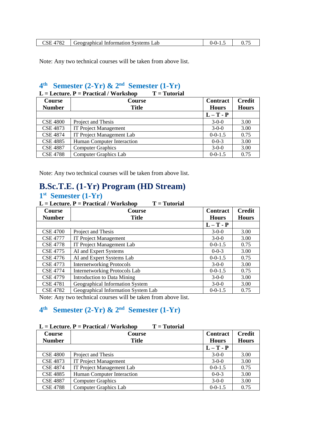| 10<br>Information Systems<br>: ieographical<br>Lab<br>' o∠ | -- | v., |
|------------------------------------------------------------|----|-----|

Note: Any two technical courses will be taken from above list.

## **4 th Semester (2-Yr) & 2 nd Semester (1-Yr)**

|                 | $T = Tutorial$<br>$L =$ Lecture. $P =$ Practical / Workshop |                 |               |
|-----------------|-------------------------------------------------------------|-----------------|---------------|
| Course          | <b>Course</b>                                               | <b>Contract</b> | <b>Credit</b> |
| <b>Number</b>   | <b>Title</b>                                                | <b>Hours</b>    | <b>Hours</b>  |
|                 |                                                             | $L-T - P$       |               |
| <b>CSE 4800</b> | Project and Thesis                                          | $3-0-0$         | 3.00          |
| <b>CSE 4873</b> | <b>IT Project Management</b>                                | $3-0-0$         | 3.00          |
| <b>CSE 4874</b> | IT Project Management Lab                                   | $0 - 0 - 1.5$   | 0.75          |
| <b>CSE 4885</b> | Human Computer Interaction                                  | $0 - 0 - 3$     | 3.00          |
| <b>CSE 4887</b> | <b>Computer Graphics</b>                                    | $3-0-0$         | 3.00          |
| <b>CSE 4788</b> | <b>Computer Graphics Lab</b>                                | $0 - 0 - 1.5$   | 0.75          |

Note: Any two technical courses will be taken from above list.

# **B.Sc.T.E. (1-Yr) Program (HD Stream) 1 st Semester (1-Yr)**

| $L =$ Lecture. $P =$ Practical / Workshop<br>$T = Tutorial$ |                                      |                 |               |  |
|-------------------------------------------------------------|--------------------------------------|-----------------|---------------|--|
| <b>Course</b>                                               | Course                               | <b>Contract</b> | <b>Credit</b> |  |
| <b>Number</b>                                               | <b>Title</b>                         | <b>Hours</b>    | <b>Hours</b>  |  |
|                                                             |                                      | $L-T - P$       |               |  |
| <b>CSE 4700</b>                                             | Project and Thesis                   | $3-0-0$         | 3.00          |  |
| <b>CSE 4777</b>                                             | <b>IT Project Management</b>         | $3-0-0$         | 3.00          |  |
| <b>CSE 4778</b>                                             | <b>IT Project Management Lab</b>     | $0-0-1.5$       | 0.75          |  |
| <b>CSE 4775</b>                                             | AI and Expert Systems                | $0 - 0 - 3$     | 3.00          |  |
| CSE 4776                                                    | AI and Expert Systems Lab            | $0-0-1.5$       | 0.75          |  |
| <b>CSE 4773</b>                                             | <b>Internetworking Protocols</b>     | $3-0-0$         | 3.00          |  |
| <b>CSE 4774</b>                                             | <b>Internetworking Protocols Lab</b> | $0 - 0 - 1.5$   | 0.75          |  |
| <b>CSE 4779</b>                                             | Introduction to Data Mining          | $3-0-0$         | 3.00          |  |
| <b>CSE 4781</b>                                             | Geographical Information System      | $3-0-0$         | 3.00          |  |
| <b>CSE 4782</b>                                             | Geographical Information System Lab  | $0-0-1.5$       | 0.75          |  |

Note: Any two technical courses will be taken from above list.

# **4 th Semester (2-Yr) & 2nd Semester (1-Yr)**

#### L = Lecture. P = Practical / Workshop T = Tutorial

| Course          | <b>Course</b>                | <b>Contract</b> | <b>Credit</b> |
|-----------------|------------------------------|-----------------|---------------|
| <b>Number</b>   | <b>Title</b>                 | <b>Hours</b>    | <b>Hours</b>  |
|                 |                              | $L-T - P$       |               |
| <b>CSE 4800</b> | Project and Thesis           | $3-0-0$         | 3.00          |
| <b>CSE 4873</b> | <b>IT Project Management</b> | $3-0-0$         | 3.00          |
| <b>CSE 4874</b> | IT Project Management Lab    | $0 - 0 - 1.5$   | 0.75          |
| <b>CSE 4885</b> | Human Computer Interaction   | $0 - 0 - 3$     | 3.00          |
| <b>CSE 4887</b> | <b>Computer Graphics</b>     | $3-0-0$         | 3.00          |
| <b>CSE 4788</b> | Computer Graphics Lab        | $0 - 0 - 1.5$   | 0.75          |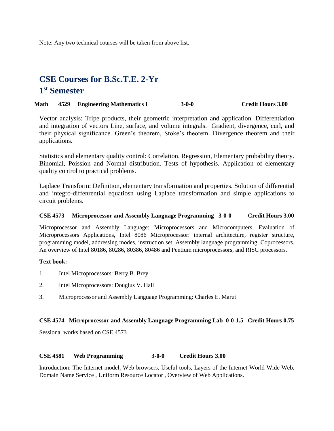Note: Any two technical courses will be taken from above list.

# **CSE Courses for B.Sc.T.E. 2-Yr 1 st Semester**

#### **Math 4529 Engineering Mathematics I 3-0-0 Credit Hours 3.00**

Vector analysis: Tripe products, their geometric interpretation and application. Differentiation and integration of vectors Line, surface, and volume integrals. Gradient, divergence, curl, and their physical significance. Green's theorem, Stoke's theorem. Divergence theorem and their applications.

Statistics and elementary quality control: Correlation. Regression, Elementary probability theory. Binomial, Poission and Normal distribution. Tests of hypothesis. Application of elementary quality control to practical problems.

Laplace Transform: Definition, elementary transformation and properties. Solution of differential and integro-diffenrential equatiosn using Laplace transformation and simple applications to circuit problems.

#### **CSE 4573 Microprocessor and Assembly Language Programming 3-0-0 Credit Hours 3.00**

Microprocessor and Assembly Language: Microprocessors and Microcomputers, Evaluation of Microprocessors Applications, Intel 8086 Microprocessor: internal architecture, register structure, programming model, addressing modes, instruction set, Assembly language programming, Coprocessors. An overview of Intel 80186, 80286, 80386, 80486 and Pentium microprocessors, and RISC processors.

#### **Text book:**

- 1. Intel Microprocessors: Berry B. Brey
- 2. Intel Microprocessors: Douglus V. Hall
- 3. Microprocessor and Assembly Language Programming: Charles E. Marut

#### **CSE 4574 Microprocessor and Assembly Language Programming Lab 0-0-1.5 Credit Hours 0.75**

Sessional works based on CSE 4573

#### **CSE 4581 Web Programming 3-0-0 Credit Hours 3.00**

Introduction: The Internet model, Web browsers, Useful tools, Layers of the Internet World Wide Web, Domain Name Service , Uniform Resource Locator , Overview of Web Applications.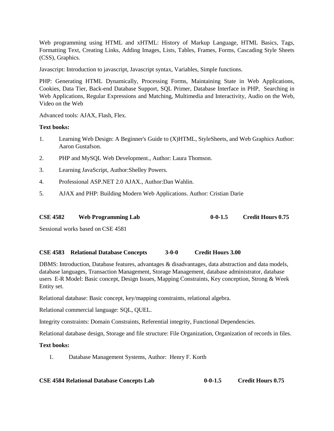Web programming using HTML and xHTML: History of Markup Language, HTML Basics, Tags, Formatting Text, Creating Links, Adding Images, Lists, Tables, Frames, Forms, Cascading Style Sheets (CSS), Graphics.

Javascript: Introduction to javascript, Javascript syntax, Variables, Simple functions.

PHP: Generating HTML Dynamically, Processing Forms, Maintaining State in Web Applications, Cookies, Data Tier, Back-end Database Support, SQL Primer, Database Interface in PHP, Searching in Web Applications, Regular Expressions and Matching, Multimedia and Interactivity, Audio on the Web, Video on the Web

Advanced tools: AJAX, Flash, Flex.

### **Text books:**

- 1. Learning Web Design: A Beginner's Guide to (X)HTML, StyleSheets, and Web Graphics Author: Aaron Gustafson.
- 2. PHP and MySQL Web Development., Author: Laura Thomson.
- 3. Learning JavaScript, Author:Shelley Powers.
- 4. Professional ASP.NET 2.0 AJAX., Author:Dan Wahlin.
- 5. AJAX and PHP: Building Modern Web Applications. Author: Cristian Darie

|  | <b>CSE 4582</b> | <b>Web Programming Lab</b> | $0 - 0 - 1.5$ | <b>Credit Hours 0.75</b> |
|--|-----------------|----------------------------|---------------|--------------------------|
|--|-----------------|----------------------------|---------------|--------------------------|

Sessional works based on CSE 4581

#### **CSE 4583 Relational Database Concepts 3-0-0 Credit Hours 3.00**

DBMS: Introduction, Database features, advantages & disadvantages, data abstraction and data models, database languages, Transaction Management, Storage Management, database administrator, database users E-R Model: Basic concept, Design Issues, Mapping Constraints, Key conception, Strong & Week Entity set.

Relational database: Basic concept, key/mapping constraints, relational algebra.

Relational commercial language: SQL, QUEL.

Integrity constraints: Domain Constraints, Referential integrity, Functional Dependencies.

Relational database design, Storage and file structure: File Organization, Organization of records in files.

### **Text books:**

1. Database Management Systems, Author: Henry F. Korth

**CSE 4584 Relational Database Concepts Lab 0-0-1.5 Credit Hours 0.75**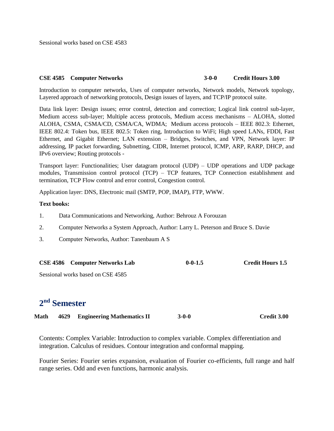Sessional works based on CSE 4583

#### **CSE 4585 Computer Networks 3-0-0 Credit Hours 3.00**

Introduction to computer networks, Uses of computer networks, Network models, Network topology, Layered approach of networking protocols, Design issues of layers, and TCP/IP protocol suite.

Data link layer: Design issues; error control, detection and correction; Logical link control sub-layer, Medium access sub-layer; Multiple access protocols, Medium access mechanisms – ALOHA, slotted ALOHA, CSMA, CSMA/CD, CSMA/CA, WDMA; Medium access protocols – IEEE 802.3: Ethernet, IEEE 802.4: Token bus, IEEE 802.5: Token ring, Introduction to WiFi; High speed LANs, FDDI, Fast Ethernet, and Gigabit Ethernet; LAN extension – Bridges, Switches, and VPN, Network layer: IP addressing, IP packet forwarding, Subnetting, CIDR, Internet protocol, ICMP, ARP, RARP, DHCP, and IPv6 overview; Routing protocols -

Transport layer: Functionalities; User datagram protocol (UDP) – UDP operations and UDP package modules, Transmission control protocol (TCP) – TCP features, TCP Connection establishment and termination, TCP Flow control and error control, Congestion control.

Application layer: DNS, Electronic mail (SMTP, POP, IMAP), FTP, WWW.

#### **Text books:**

- 1. Data Communications and Networking, Author: Behrouz A Forouzan
- 2. Computer Networks a System Approach, Author: Larry L. Peterson and Bruce S. Davie
- 3. Computer Networks, Author: Tanenbaum A S

|  | <b>CSE 4586</b> Computer Networks Lab | $0 - 0 - 1.5$ | <b>Credit Hours 1.5</b> |
|--|---------------------------------------|---------------|-------------------------|
|--|---------------------------------------|---------------|-------------------------|

Sessional works based on CSE 4585

# **2 nd Semester**

| Math |  | 4629 Engineering Mathematics II | $3 - 0 - 0$ | Credit 3.00 |
|------|--|---------------------------------|-------------|-------------|
|------|--|---------------------------------|-------------|-------------|

Contents: Complex Variable: Introduction to complex variable. Complex differentiation and integration. Calculus of residues. Contour integration and conformal mapping.

Fourier Series: Fourier series expansion, evaluation of Fourier co-efficients, full range and half range series. Odd and even functions, harmonic analysis.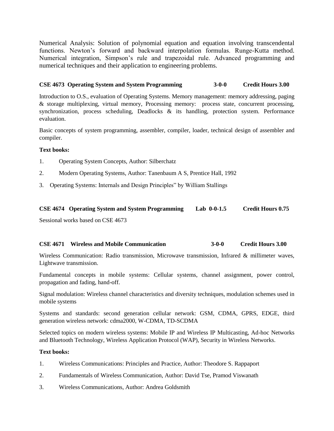Numerical Analysis: Solution of polynomial equation and equation involving transcendental functions. Newton's forward and backward interpolation formulas. Runge-Kutta method. Numerical integration, Simpson's rule and trapezoidal rule. Advanced programming and numerical techniques and their application to engineering problems.

### **CSE 4673 Operating System and System Programming 3-0-0 Credit Hours 3.00**

Introduction to O.S., evaluation of Operating Systems. Memory management: memory addressing, paging & storage multiplexing, virtual memory, Processing memory: process state, concurrent processing, synchronization, process scheduling, Deadlocks & its handling, protection system. Performance evaluation.

Basic concepts of system programming, assembler, compiler, loader, technical design of assembler and compiler.

#### **Text books:**

- 1. Operating System Concepts, Author: Silberchatz
- 2. Modern Operating Systems, Author: Tanenbaum A S, Prentice Hall, 1992
- 3. Operating Systems: Internals and Design Principles" by William Stallings

#### **CSE 4674 Operating System and System Programming Lab 0-0-1.5 Credit Hours 0.75**

Sessional works based on CSE 4673

#### **CSE 4671 Wireless and Mobile Communication 3-0-0 Credit Hours 3.00**

Wireless Communication: Radio transmission, Microwave transmission, Infrared & millimeter waves, Lightwave transmission.

Fundamental concepts in mobile systems: Cellular systems, channel assignment, power control, propagation and fading, hand-off.

Signal modulation: Wireless channel characteristics and diversity techniques, modulation schemes used in mobile systems

Systems and standards: second generation cellular network: GSM, CDMA, GPRS, EDGE, third generation wireless network: cdma2000, W-CDMA, TD-SCDMA

Selected topics on modern wireless systems: Mobile IP and Wireless IP Multicasting, Ad-hoc Networks and Bluetooth Technology, Wireless Application Protocol (WAP), Security in Wireless Networks.

- 1. Wireless Communications: Principles and Practice, Author: Theodore S. Rappaport
- 2. Fundamentals of Wireless Communication, Author: David Tse, Pramod Viswanath
- 3. Wireless Communications, Author: Andrea Goldsmith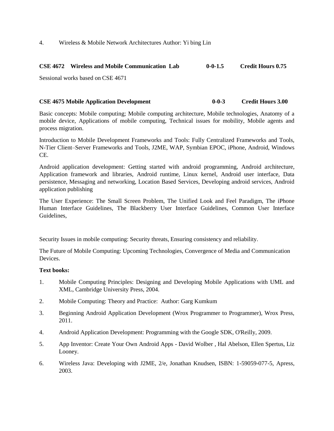4. Wireless & Mobile Network Architectures Author: Yi bing Lin

#### **CSE 4672 Wireless and Mobile Communication Lab 0-0-1.5 Credit Hours 0.75**

Sessional works based on CSE 4671

#### **CSE 4675 Mobile Application Development 0-0-3 Credit Hours 3.00**

Basic concepts: Mobile computing; Mobile computing architecture, Mobile technologies, Anatomy of a mobile device, Applications of mobile computing, Technical issues for mobility, Mobile agents and process migration.

Introduction to Mobile Development Frameworks and Tools: Fully Centralized Frameworks and Tools, N-Tier Client–Server Frameworks and Tools, J2ME, WAP, Symbian EPOC, iPhone, Android, Windows CE.

Android application development: Getting started with android programming, Android architecture, Application framework and libraries, Android runtime, Linux kernel, Android user interface, Data persistence, Messaging and networking, Location Based Services, Developing android services, Android application publishing

The User Experience: The Small Screen Problem, The Unified Look and Feel Paradigm, The iPhone Human Interface Guidelines, The Blackberry User Interface Guidelines, Common User Interface Guidelines,

Security Issues in mobile computing: Security threats, Ensuring consistency and reliability.

The Future of Mobile Computing: Upcoming Technologies, Convergence of Media and Communication Devices.

- 1. Mobile Computing Principles: Designing and Developing Mobile Applications with UML and XML, Cambridge University Press, 2004.
- 2. Mobile Computing: Theory and Practice: Author: Garg Kumkum
- 3. Beginning Android Application Development (Wrox Programmer to Programmer), Wrox Press, 2011.
- 4. Android Application Development: Programming with the Google SDK, O'Reilly, 2009.
- 5. App Inventor: Create Your Own Android Apps David Wolber , Hal Abelson, Ellen Spertus, Liz Looney.
- 6. Wireless Java: Developing with J2ME, 2/e, Jonathan Knudsen, ISBN: 1-59059-077-5, Apress, 2003.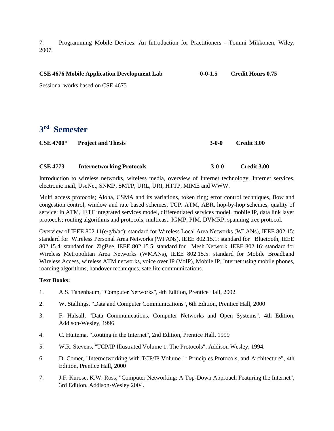7. Programming Mobile Devices: An Introduction for Practitioners - Tommi Mikkonen, Wiley, 2007.

| <b>CSE 4676 Mobile Application Development Lab</b> | $0 - 0 - 1.5$ | <b>Credit Hours 0.75</b> |
|----------------------------------------------------|---------------|--------------------------|
| Sessional works based on CSE 4675                  |               |                          |

# **3 rd Semester**

| <b>CSE 4700*</b> | <b>Project and Thesis</b> | $3-0-0$ | <b>Credit 3.00</b> |
|------------------|---------------------------|---------|--------------------|
|                  |                           |         |                    |

### **CSE 4773 Internetworking Protocols 3-0-0 Credit 3.00**

Introduction to wireless networks, wireless media, overview of Internet technology, Internet services, electronic mail, UseNet, SNMP, SMTP, URL, URI, HTTP, MIME and WWW.

Multi access protocols; Aloha, CSMA and its variations, token ring; error control techniques, flow and congestion control, window and rate based schemes, TCP. ATM, ABR, hop-by-hop schemes, quality of service: in ATM, IETF integrated services model, differentiated services model, mobile IP, data link layer protocols; routing algorithms and protocols, multicast: IGMP, PIM, DVMRP, spanning tree protocol.

Overview of IEEE 802.11(e/g/h/ac): standard for Wireless Local Area Networks (WLANs), IEEE 802.15: standard for Wireless Personal Area Networks (WPANs), IEEE 802.15.1: standard for Bluetooth, IEEE 802.15.4: standard for ZigBee, IEEE 802.15.5: standard for Mesh Network, IEEE 802.16: standard for Wireless Metropolitan Area Networks (WMANs), IEEE 802.15.5: standard for Mobile Broadband Wireless Access, wireless ATM networks, voice over IP (VoIP), Mobile IP, Internet using mobile phones, roaming algorithms, handover techniques, satellite communications.

- 1. A.S. Tanenbaum, "Computer Networks", 4th Edition, Prentice Hall, 2002
- 2. W. Stallings, "Data and Computer Communications", 6th Edition, Prentice Hall, 2000
- 3. F. Halsall, "Data Communications, Computer Networks and Open Systems", 4th Edition, Addison-Wesley, 1996
- 4. C. Huitema, "Routing in the Internet", 2nd Edition, Prentice Hall, 1999
- 5. W.R. Stevens, "TCP/IP Illustrated Volume 1: The Protocols", Addison Wesley, 1994.
- 6. D. Comer, "Internetworking with TCP/IP Volume 1: Principles Protocols, and Architecture", 4th Edition, Prentice Hall, 2000
- 7. J.F. Kurose, K.W. Ross, "Computer Networking: A Top-Down Approach Featuring the Internet", 3rd Edition, Addison-Wesley 2004.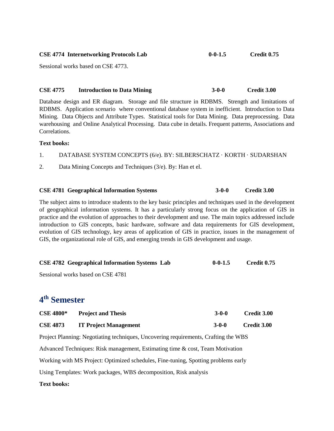| <b>CSE 4774 Internetworking Protocols Lab</b> | $0 - 0 - 1.5$ | Credit 0.75 |
|-----------------------------------------------|---------------|-------------|
|                                               |               |             |

Sessional works based on CSE 4773.

#### **CSE 4775 Introduction to Data Mining 3-0-0 Credit 3.00**

Database design and ER diagram. Storage and file structure in RDBMS. Strength and limitations of RDBMS. Application scenario where conventional database system in inefficient. Introduction to Data Mining. Data Objects and Attribute Types. Statistical tools for Data Mining. Data preprocessing. Data warehousing and Online Analytical Processing. Data cube in details. Frequent patterns, Associations and Correlations.

#### **Text books:**

- 1. DATABASE SYSTEM CONCEPTS (6/e). BY: SILBERSCHATZ · KORTH · SUDARSHAN
- 2. Data Mining Concepts and Techniques (3/e). By: Han et el.

#### **CSE 4781 Geographical Information Systems 3-0-0 Credit 3.00**

The subject aims to introduce students to the key basic principles and techniques used in the development of geographical information systems. It has a particularly strong focus on the application of GIS in practice and the evolution of approaches to their development and use. The main topics addressed include introduction to GIS concepts, basic hardware, software and data requirements for GIS development, evolution of GIS technology, key areas of application of GIS in practice, issues in the management of GIS, the organizational role of GIS, and emerging trends in GIS development and usage.

| <b>CSE 4782 Geographical Information Systems Lab</b> | $0 - 0 - 1.5$ | Credit 0.75 |
|------------------------------------------------------|---------------|-------------|
| Sessional works based on CSE 4781                    |               |             |

# **4 th Semester**

| <b>CSE 4800*</b> | <b>Project and Thesis</b>    | 3-0-0 | <b>Credit 3.00</b> |
|------------------|------------------------------|-------|--------------------|
| <b>CSE 4873</b>  | <b>IT Project Management</b> | 3-0-0 | Credit 3.00        |

Project Planning: Negotiating techniques, Uncovering requirements, Crafting the WBS

Advanced Techniques: Risk management, Estimating time & cost, Team Motivation

Working with MS Project: Optimized schedules, Fine-tuning, Spotting problems early

Using Templates: Work packages, WBS decomposition, Risk analysis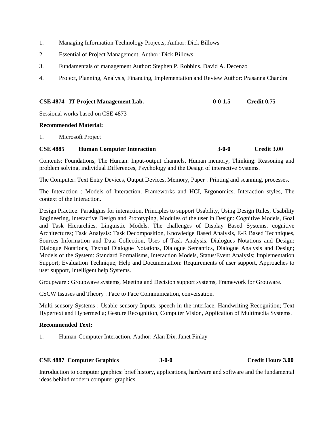- 1. Managing Information Technology Projects, Author: Dick Billows
- 2. Essential of Project Management, Author: Dick Billows
- 3. Fundamentals of management Author: Stephen P. Robbins, David A. Decenzo
- 4. Project, Planning, Analysis, Financing, Implementation and Review Author: Prasanna Chandra

| CSE 4874 IT Project Management Lab. | $0 - 0 - 1.5$ | Credit 0.75 |
|-------------------------------------|---------------|-------------|
|                                     |               |             |

Sessional works based on CSE 4873

#### **Recommended Material:**

1. Microsoft Project

#### **CSE 4885 Human Computer Interaction 3-0-0 Credit 3.00**

Contents: Foundations, The Human: Input-output channels, Human memory, Thinking: Reasoning and problem solving, individual Differences, Psychology and the Design of interactive Systems.

The Computer: Text Entry Devices, Output Devices, Memory, Paper : Printing and scanning, processes.

The Interaction : Models of Interaction, Frameworks and HCI, Ergonomics, Interaction styles, The context of the Interaction.

Design Practice: Paradigms for interaction, Principles to support Usability, Using Design Rules, Usability Engineering, Interactive Design and Prototyping, Modules of the user in Design: Cognitive Models, Goal and Task Hierarchies, Linguistic Models. The challenges of Display Based Systems, cognitive Architectures; Task Analysis: Task Decomposition, Knowledge Based Analysis, E-R Based Techniques, Sources Information and Data Collection, Uses of Task Analysis. Dialogues Notations and Design: Dialogue Notations, Textual Dialogue Notations, Dialogue Semantics, Dialogue Analysis and Design; Models of the System: Standard Formalisms, Interaction Models, Status/Event Analysis; Implementation Support; Evaluation Technique; Help and Documentation: Requirements of user support, Approaches to user support, Intelligent help Systems.

Groupware : Groupwave systems, Meeting and Decision support systems, Framework for Grouware.

CSCW Issuses and Theory : Face to Face Communication, conversation.

Multi-sensory Systems : Usable sensory Inputs, speech in the interface, Handwriting Recognition; Text Hypertext and Hypermedia; Gesture Recognition, Computer Vision, Application of Multimedia Systems.

#### **Recommended Text:**

1. Human-Computer Interaction, Author: Alan Dix, Janet Finlay

## **CSE 4887 Computer Graphics 3-0-0 Credit Hours 3.00**

Introduction to computer graphics: brief history, applications, hardware and software and the fundamental ideas behind modern computer graphics.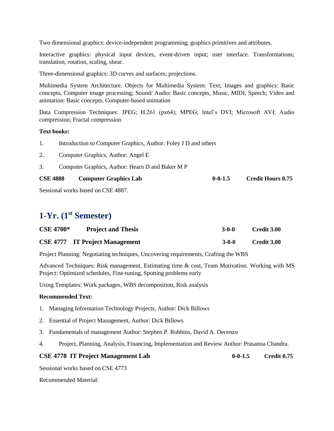Two dimensional graphics: device-independent programming; graphics primitives and attributes.

Interactive graphics: physical input devices, event-driven input; user interface. Transformations; translation, rotation, scaling, shear.

Three-dimensional graphics: 3D curves and surfaces; projections.

Multimedia System Architecture. Objects for Multimedia System: Text; Images and graphics: Basic concepts, Computer image processing; Sound/ Audio: Basic concepts, Music, MIDI, Speech; Video and animation: Basic concepts, Computer-based animation

Data Compression Techniques: JPEG; H.261 (px64); MPEG; Intel's DVI; Microsoft AVI; Audio compression; Fractal compression

### **Text books:**

- 1. Introduction to Computer Graphics, Author: Foley J D and others
- 2. Computer Graphics, Author: Angel E
- 3. Computer Graphics, Author: Hearn D and Baker M P

| <b>CSE 4888</b><br><b>Computer Graphics Lab</b> | $0 - 0 - 1.5$ | <b>Credit Hours 0.75</b> |
|-------------------------------------------------|---------------|--------------------------|
|-------------------------------------------------|---------------|--------------------------|

Sessional works based on CSE 4887.

# **1-Yr. (1st Semester)**

| <b>CSE 4700*</b> | <b>Project and Thesis</b>             | $3-0-0$ | Credit 3.00 |
|------------------|---------------------------------------|---------|-------------|
|                  | <b>CSE 4777</b> IT Project Management | $3-0-0$ | Credit 3.00 |

Project Planning: Negotiating techniques, Uncovering requirements, Crafting the WBS

Advanced Techniques: Risk management, Estimating time & cost, Team Motivation. Working with MS Project: Optimized schedules, Fine-tuning, Spotting problems early

Using Templates: Work packages, WBS decomposition, Risk analysis

#### **Recommended Text:**

- 1. Managing Information Technology Projects, Author: Dick Billows
- 2. Essential of Project Management, Author: Dick Billows
- 3. Fundamentals of management Author: Stephen P. Robbins, David A. Decenzo
- 4. Project, Planning, Analysis, Financing, Implementation and Review Author: Prasanna Chandra.

## **CSE 4778 IT Project Management Lab 0-0-1.5 Credit 0.75**

Sessional works based on CSE 4773

Recommended Material: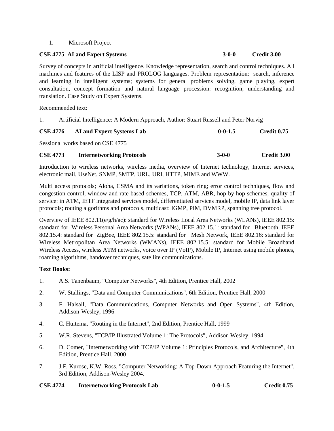#### 1. Microsoft Project

## **CSE 4775 AI and Expert Systems 3-0-0 Credit 3.00**

Survey of concepts in artificial intelligence. Knowledge representation, search and control techniques. All machines and features of the LISP and PROLOG languages. Problem representation: search, inference and learning in intelligent systems; systems for general problems solving, game playing, expert consultation, concept formation and natural language procession: recognition, understanding and translation. Case Study on Expert Systems.

Recommended text:

1. Artificial Intelligence: A Modern Approach, Author: Stuart Russell and Peter Norvig

| <b>CSE 4776</b> | <b>AI</b> and Expert Systems Lab  | $0 - 0 - 1.5$ | Credit 0.75 |
|-----------------|-----------------------------------|---------------|-------------|
|                 | Sessional works based on CSE 4775 |               |             |
| <b>CSE 4773</b> | <b>Internetworking Protocols</b>  | 3-0-0         | Credit 3.00 |

Introduction to wireless networks, wireless media, overview of Internet technology, Internet services, electronic mail, UseNet, SNMP, SMTP, URL, URI, HTTP, MIME and WWW.

Multi access protocols; Aloha, CSMA and its variations, token ring; error control techniques, flow and congestion control, window and rate based schemes, TCP. ATM, ABR, hop-by-hop schemes, quality of service: in ATM, IETF integrated services model, differentiated services model, mobile IP, data link layer protocols; routing algorithms and protocols, multicast: IGMP, PIM, DVMRP, spanning tree protocol.

Overview of IEEE 802.11(e/g/h/ac): standard for Wireless Local Area Networks (WLANs), IEEE 802.15: standard for Wireless Personal Area Networks (WPANs), IEEE 802.15.1: standard for Bluetooth, IEEE 802.15.4: standard for ZigBee, IEEE 802.15.5: standard for Mesh Network, IEEE 802.16: standard for Wireless Metropolitan Area Networks (WMANs), IEEE 802.15.5: standard for Mobile Broadband Wireless Access, wireless ATM networks, voice over IP (VoIP), Mobile IP, Internet using mobile phones, roaming algorithms, handover techniques, satellite communications.

- 1. A.S. Tanenbaum, "Computer Networks", 4th Edition, Prentice Hall, 2002
- 2. W. Stallings, "Data and Computer Communications", 6th Edition, Prentice Hall, 2000
- 3. F. Halsall, "Data Communications, Computer Networks and Open Systems", 4th Edition, Addison-Wesley, 1996
- 4. C. Huitema, "Routing in the Internet", 2nd Edition, Prentice Hall, 1999
- 5. W.R. Stevens, "TCP/IP Illustrated Volume 1: The Protocols", Addison Wesley, 1994.
- 6. D. Comer, "Internetworking with TCP/IP Volume 1: Principles Protocols, and Architecture", 4th Edition, Prentice Hall, 2000
- 7. J.F. Kurose, K.W. Ross, "Computer Networking: A Top-Down Approach Featuring the Internet", 3rd Edition, Addison-Wesley 2004.

| <b>CSE 4774</b> | <b>Internetworking Protocols Lab</b> | $0 - 0 - 1.5$ | Credit 0.75 |
|-----------------|--------------------------------------|---------------|-------------|
|-----------------|--------------------------------------|---------------|-------------|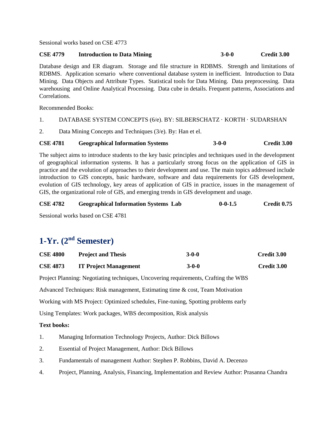Sessional works based on CSE 4773

#### **CSE 4779 Introduction to Data Mining 3-0-0 Credit 3.00**

Database design and ER diagram. Storage and file structure in RDBMS. Strength and limitations of RDBMS. Application scenario where conventional database system in inefficient. Introduction to Data Mining. Data Objects and Attribute Types. Statistical tools for Data Mining. Data preprocessing. Data warehousing and Online Analytical Processing. Data cube in details. Frequent patterns, Associations and Correlations.

Recommended Books:

### 1. DATABASE SYSTEM CONCEPTS (6/e). BY: SILBERSCHATZ · KORTH · SUDARSHAN

2. Data Mining Concepts and Techniques (3/e). By: Han et el.

### **CSE 4781 Geographical Information Systems 3-0-0 Credit 3.00**

The subject aims to introduce students to the key basic principles and techniques used in the development of geographical information systems. It has a particularly strong focus on the application of GIS in practice and the evolution of approaches to their development and use. The main topics addressed include introduction to GIS concepts, basic hardware, software and data requirements for GIS development, evolution of GIS technology, key areas of application of GIS in practice, issues in the management of GIS, the organizational role of GIS, and emerging trends in GIS development and usage.

| <b>CSE 4782</b> |  | <b>Geographical Information Systems Lab</b> |  | $0 - 0 - 1.5$ | Credit 0.75 |                                           |  |  |
|-----------------|--|---------------------------------------------|--|---------------|-------------|-------------------------------------------|--|--|
|                 |  |                                             |  |               |             | $\sim$ $\sim$ $\sim$ $\sim$ $\sim$ $\sim$ |  |  |

Sessional works based on CSE 4781

# **1-Yr. (2nd Semester)**

| <b>CSE 4800</b> | <b>Project and Thesis</b>    | $3-0-0$ | Credit 3.00 |
|-----------------|------------------------------|---------|-------------|
| <b>CSE 4873</b> | <b>IT Project Management</b> | $3-0-0$ | Credit 3.00 |

Project Planning: Negotiating techniques, Uncovering requirements, Crafting the WBS

Advanced Techniques: Risk management, Estimating time & cost, Team Motivation

Working with MS Project: Optimized schedules, Fine-tuning, Spotting problems early

Using Templates: Work packages, WBS decomposition, Risk analysis

- 1. Managing Information Technology Projects, Author: Dick Billows
- 2. Essential of Project Management, Author: Dick Billows
- 3. Fundamentals of management Author: Stephen P. Robbins, David A. Decenzo
- 4. Project, Planning, Analysis, Financing, Implementation and Review Author: Prasanna Chandra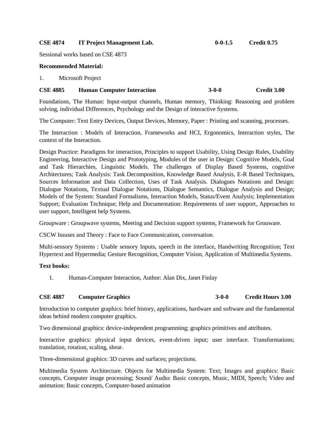#### **CSE 4874 IT Project Management Lab. 0-0-1.5 Credit 0.75**

Sessional works based on CSE 4873

#### **Recommended Material:**

1. Microsoft Project

#### **CSE 4885 Human Computer Interaction 3-0-0 Credit 3.00**

Foundations, The Human: Input-output channels, Human memory, Thinking: Reasoning and problem solving, individual Differences, Psychology and the Design of interactive Systems.

The Computer: Text Entry Devices, Output Devices, Memory, Paper : Printing and scanning, processes.

The Interaction : Models of Interaction, Frameworks and HCI, Ergonomics, Interaction styles, The context of the Interaction.

Design Practice: Paradigms for interaction, Principles to support Usability, Using Design Rules, Usability Engineering, Interactive Design and Prototyping, Modules of the user in Design: Cognitive Models, Goal and Task Hierarchies, Linguistic Models. The challenges of Display Based Systems, cognitive Architectures; Task Analysis: Task Decomposition, Knowledge Based Analysis, E-R Based Techniques, Sources Information and Data Collection, Uses of Task Analysis. Dialogues Notations and Design: Dialogue Notations, Textual Dialogue Notations, Dialogue Semantics, Dialogue Analysis and Design; Models of the System: Standard Formalisms, Interaction Models, Status/Event Analysis; Implementation Support; Evaluation Technique; Help and Documentation: Requirements of user support, Approaches to user support, Intelligent help Systems.

Groupware : Groupwave systems, Meeting and Decision support systems, Framework for Grouware.

CSCW Issuses and Theory : Face to Face Communication, conversation.

Multi-sensory Systems : Usable sensory Inputs, speech in the interface, Handwriting Recognition; Text Hypertext and Hypermedia; Gesture Recognition, Computer Vision, Application of Multimedia Systems.

#### **Text books:**

1. Human-Computer Interaction, Author: Alan Dix, Janet Finlay

## **CSE 4887 Computer Graphics 3-0-0 Credit Hours 3.00**

Introduction to computer graphics: brief history, applications, hardware and software and the fundamental ideas behind modern computer graphics.

Two dimensional graphics: device-independent programming; graphics primitives and attributes.

Interactive graphics: physical input devices, event-driven input; user interface. Transformations; translation, rotation, scaling, shear.

Three-dimensional graphics: 3D curves and surfaces; projections.

Multimedia System Architecture. Objects for Multimedia System: Text; Images and graphics: Basic concepts, Computer image processing; Sound/ Audio: Basic concepts, Music, MIDI, Speech; Video and animation: Basic concepts, Computer-based animation